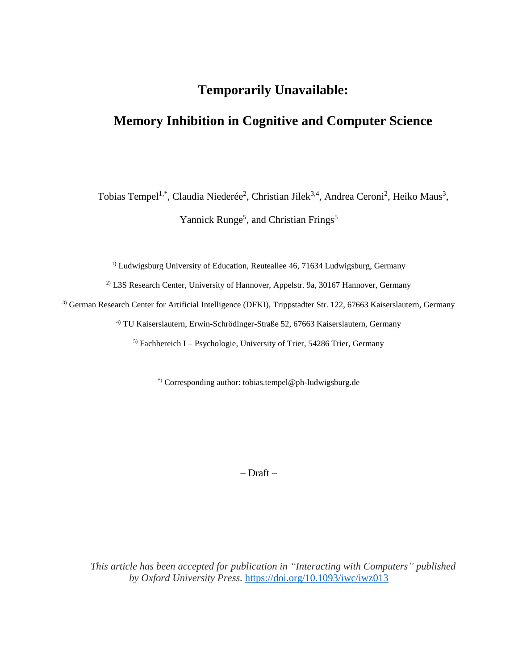# **Temporarily Unavailable:**

# **Memory Inhibition in Cognitive and Computer Science**

Tobias Tempel<sup>1,\*</sup>, Claudia Niederée<sup>2</sup>, Christian Jilek<sup>3,4</sup>, Andrea Ceroni<sup>2</sup>, Heiko Maus<sup>3</sup>,

Yannick Runge<sup>5</sup>, and Christian Frings<sup>5</sup>

<sup>1)</sup> Ludwigsburg University of Education, Reuteallee 46, 71634 Ludwigsburg, Germany

2) L3S Research Center, University of Hannover, Appelstr. 9a, 30167 Hannover, Germany

<sup>3)</sup> German Research Center for Artificial Intelligence (DFKI), Trippstadter Str. 122, 67663 Kaiserslautern, Germany

4) TU Kaiserslautern, Erwin-Schrödinger-Straße 52, 67663 Kaiserslautern, Germany

 $<sup>5)</sup>$  Fachbereich I – Psychologie, University of Trier, 54286 Trier, Germany</sup>

\*) Corresponding author: tobias.tempel@ph-ludwigsburg.de

– Draft –

*This article has been accepted for publication in "Interacting with Computers" published by Oxford University Press.* <https://doi.org/10.1093/iwc/iwz013>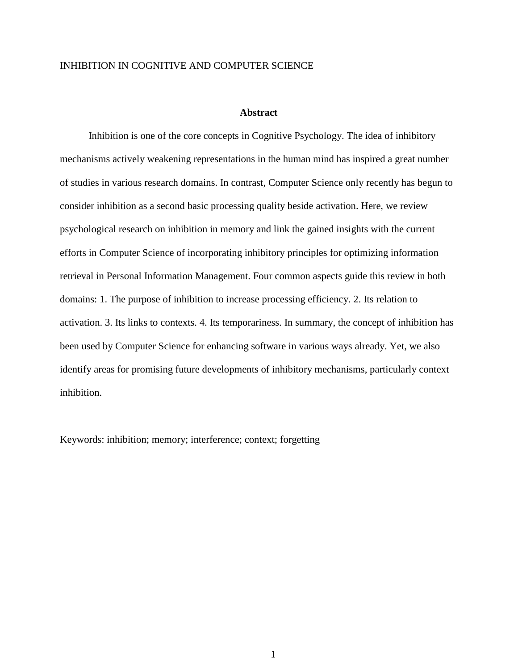# **Abstract**

Inhibition is one of the core concepts in Cognitive Psychology. The idea of inhibitory mechanisms actively weakening representations in the human mind has inspired a great number of studies in various research domains. In contrast, Computer Science only recently has begun to consider inhibition as a second basic processing quality beside activation. Here, we review psychological research on inhibition in memory and link the gained insights with the current efforts in Computer Science of incorporating inhibitory principles for optimizing information retrieval in Personal Information Management. Four common aspects guide this review in both domains: 1. The purpose of inhibition to increase processing efficiency. 2. Its relation to activation. 3. Its links to contexts. 4. Its temporariness. In summary, the concept of inhibition has been used by Computer Science for enhancing software in various ways already. Yet, we also identify areas for promising future developments of inhibitory mechanisms, particularly context inhibition.

Keywords: inhibition; memory; interference; context; forgetting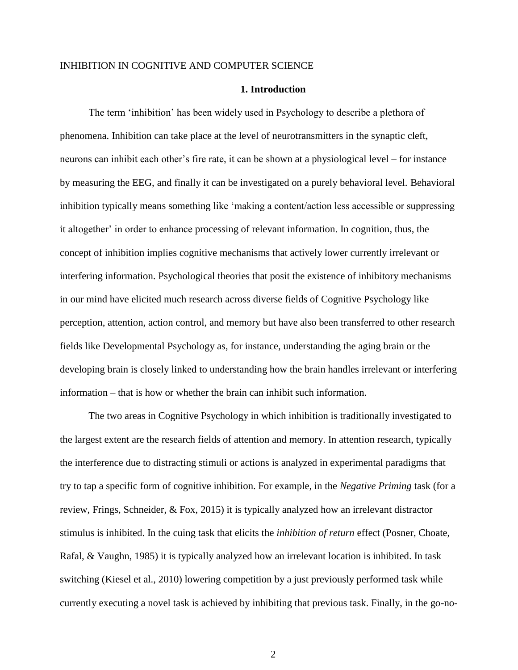#### **1. Introduction**

The term 'inhibition' has been widely used in Psychology to describe a plethora of phenomena. Inhibition can take place at the level of neurotransmitters in the synaptic cleft, neurons can inhibit each other's fire rate, it can be shown at a physiological level – for instance by measuring the EEG, and finally it can be investigated on a purely behavioral level. Behavioral inhibition typically means something like 'making a content/action less accessible or suppressing it altogether' in order to enhance processing of relevant information. In cognition, thus, the concept of inhibition implies cognitive mechanisms that actively lower currently irrelevant or interfering information. Psychological theories that posit the existence of inhibitory mechanisms in our mind have elicited much research across diverse fields of Cognitive Psychology like perception, attention, action control, and memory but have also been transferred to other research fields like Developmental Psychology as, for instance, understanding the aging brain or the developing brain is closely linked to understanding how the brain handles irrelevant or interfering information – that is how or whether the brain can inhibit such information.

The two areas in Cognitive Psychology in which inhibition is traditionally investigated to the largest extent are the research fields of attention and memory. In attention research, typically the interference due to distracting stimuli or actions is analyzed in experimental paradigms that try to tap a specific form of cognitive inhibition. For example, in the *Negative Priming* task (for a review, Frings, Schneider, & Fox, 2015) it is typically analyzed how an irrelevant distractor stimulus is inhibited. In the cuing task that elicits the *inhibition of return* effect (Posner, Choate, Rafal, & Vaughn, 1985) it is typically analyzed how an irrelevant location is inhibited. In task switching (Kiesel et al., 2010) lowering competition by a just previously performed task while currently executing a novel task is achieved by inhibiting that previous task. Finally, in the go-no-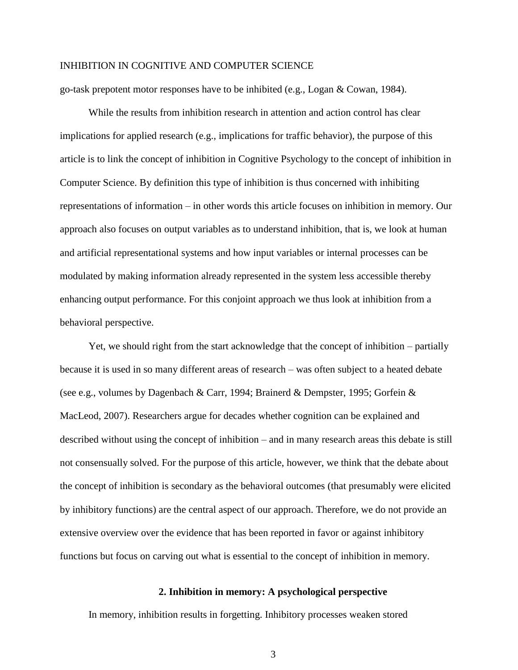go-task prepotent motor responses have to be inhibited (e.g., Logan & Cowan, 1984).

While the results from inhibition research in attention and action control has clear implications for applied research (e.g., implications for traffic behavior), the purpose of this article is to link the concept of inhibition in Cognitive Psychology to the concept of inhibition in Computer Science. By definition this type of inhibition is thus concerned with inhibiting representations of information – in other words this article focuses on inhibition in memory. Our approach also focuses on output variables as to understand inhibition, that is, we look at human and artificial representational systems and how input variables or internal processes can be modulated by making information already represented in the system less accessible thereby enhancing output performance. For this conjoint approach we thus look at inhibition from a behavioral perspective.

Yet, we should right from the start acknowledge that the concept of inhibition – partially because it is used in so many different areas of research – was often subject to a heated debate (see e.g., volumes by Dagenbach & Carr, 1994; Brainerd & Dempster, 1995; Gorfein & MacLeod, 2007). Researchers argue for decades whether cognition can be explained and described without using the concept of inhibition – and in many research areas this debate is still not consensually solved. For the purpose of this article, however, we think that the debate about the concept of inhibition is secondary as the behavioral outcomes (that presumably were elicited by inhibitory functions) are the central aspect of our approach. Therefore, we do not provide an extensive overview over the evidence that has been reported in favor or against inhibitory functions but focus on carving out what is essential to the concept of inhibition in memory.

#### **2. Inhibition in memory: A psychological perspective**

In memory, inhibition results in forgetting. Inhibitory processes weaken stored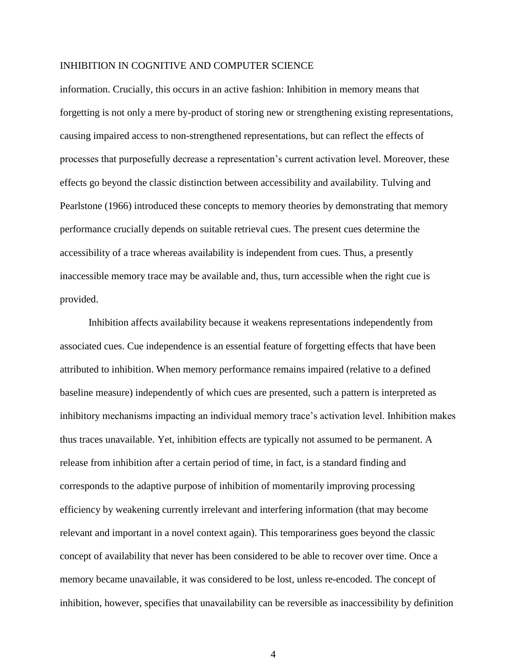information. Crucially, this occurs in an active fashion: Inhibition in memory means that forgetting is not only a mere by-product of storing new or strengthening existing representations, causing impaired access to non-strengthened representations, but can reflect the effects of processes that purposefully decrease a representation's current activation level. Moreover, these effects go beyond the classic distinction between accessibility and availability. Tulving and Pearlstone (1966) introduced these concepts to memory theories by demonstrating that memory performance crucially depends on suitable retrieval cues. The present cues determine the accessibility of a trace whereas availability is independent from cues. Thus, a presently inaccessible memory trace may be available and, thus, turn accessible when the right cue is provided.

Inhibition affects availability because it weakens representations independently from associated cues. Cue independence is an essential feature of forgetting effects that have been attributed to inhibition. When memory performance remains impaired (relative to a defined baseline measure) independently of which cues are presented, such a pattern is interpreted as inhibitory mechanisms impacting an individual memory trace's activation level. Inhibition makes thus traces unavailable. Yet, inhibition effects are typically not assumed to be permanent. A release from inhibition after a certain period of time, in fact, is a standard finding and corresponds to the adaptive purpose of inhibition of momentarily improving processing efficiency by weakening currently irrelevant and interfering information (that may become relevant and important in a novel context again). This temporariness goes beyond the classic concept of availability that never has been considered to be able to recover over time. Once a memory became unavailable, it was considered to be lost, unless re-encoded. The concept of inhibition, however, specifies that unavailability can be reversible as inaccessibility by definition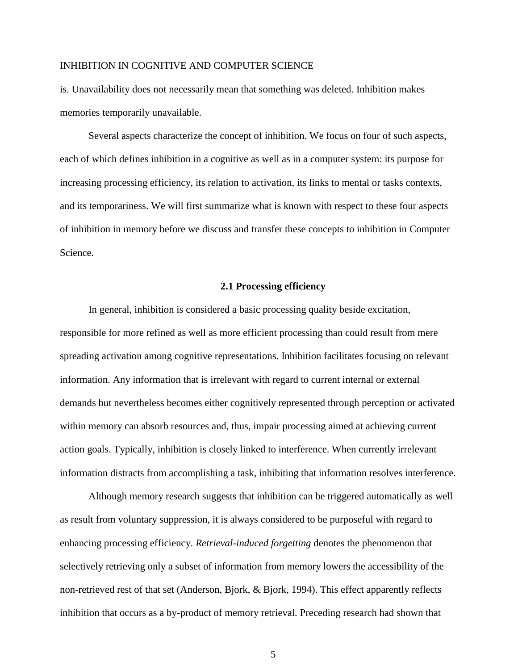is. Unavailability does not necessarily mean that something was deleted. Inhibition makes memories temporarily unavailable.

Several aspects characterize the concept of inhibition. We focus on four of such aspects, each of which defines inhibition in a cognitive as well as in a computer system: its purpose for increasing processing efficiency, its relation to activation, its links to mental or tasks contexts, and its temporariness. We will first summarize what is known with respect to these four aspects of inhibition in memory before we discuss and transfer these concepts to inhibition in Computer Science.

#### **2.1 Processing efficiency**

In general, inhibition is considered a basic processing quality beside excitation, responsible for more refined as well as more efficient processing than could result from mere spreading activation among cognitive representations. Inhibition facilitates focusing on relevant information. Any information that is irrelevant with regard to current internal or external demands but nevertheless becomes either cognitively represented through perception or activated within memory can absorb resources and, thus, impair processing aimed at achieving current action goals. Typically, inhibition is closely linked to interference. When currently irrelevant information distracts from accomplishing a task, inhibiting that information resolves interference.

Although memory research suggests that inhibition can be triggered automatically as well as result from voluntary suppression, it is always considered to be purposeful with regard to enhancing processing efficiency. *Retrieval-induced forgetting* denotes the phenomenon that selectively retrieving only a subset of information from memory lowers the accessibility of the non-retrieved rest of that set (Anderson, Bjork, & Bjork, 1994). This effect apparently reflects inhibition that occurs as a by-product of memory retrieval. Preceding research had shown that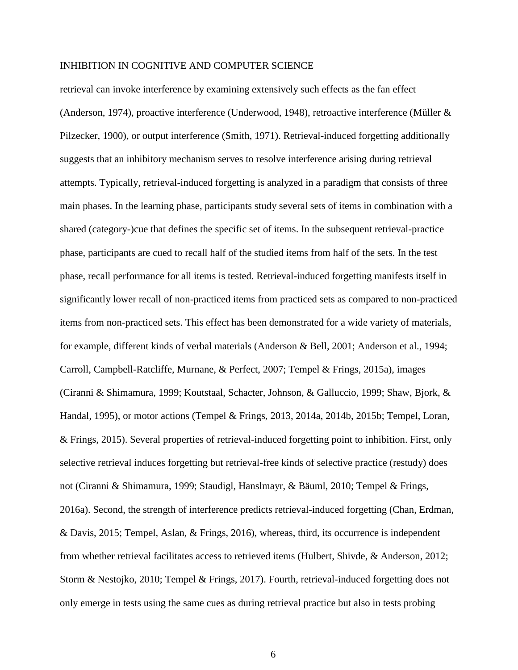retrieval can invoke interference by examining extensively such effects as the fan effect (Anderson, 1974), proactive interference (Underwood, 1948), retroactive interference (Müller & Pilzecker, 1900), or output interference (Smith, 1971). Retrieval-induced forgetting additionally suggests that an inhibitory mechanism serves to resolve interference arising during retrieval attempts. Typically, retrieval-induced forgetting is analyzed in a paradigm that consists of three main phases. In the learning phase, participants study several sets of items in combination with a shared (category-)cue that defines the specific set of items. In the subsequent retrieval-practice phase, participants are cued to recall half of the studied items from half of the sets. In the test phase, recall performance for all items is tested. Retrieval-induced forgetting manifests itself in significantly lower recall of non-practiced items from practiced sets as compared to non-practiced items from non-practiced sets. This effect has been demonstrated for a wide variety of materials, for example, different kinds of verbal materials (Anderson & Bell, 2001; Anderson et al., 1994; Carroll, Campbell-Ratcliffe, Murnane, & Perfect, 2007; Tempel & Frings, 2015a), images (Ciranni & Shimamura, 1999; Koutstaal, Schacter, Johnson, & Galluccio, 1999; Shaw, Bjork, & Handal, 1995), or motor actions (Tempel & Frings, 2013, 2014a, 2014b, 2015b; Tempel, Loran, & Frings, 2015). Several properties of retrieval-induced forgetting point to inhibition. First, only selective retrieval induces forgetting but retrieval-free kinds of selective practice (restudy) does not (Ciranni & Shimamura, 1999; Staudigl, Hanslmayr, & Bäuml, 2010; Tempel & Frings, 2016a). Second, the strength of interference predicts retrieval-induced forgetting (Chan, Erdman, & Davis, 2015; Tempel, Aslan, & Frings, 2016), whereas, third, its occurrence is independent from whether retrieval facilitates access to retrieved items (Hulbert, Shivde, & Anderson, 2012; Storm & Nestojko, 2010; Tempel & Frings, 2017). Fourth, retrieval-induced forgetting does not only emerge in tests using the same cues as during retrieval practice but also in tests probing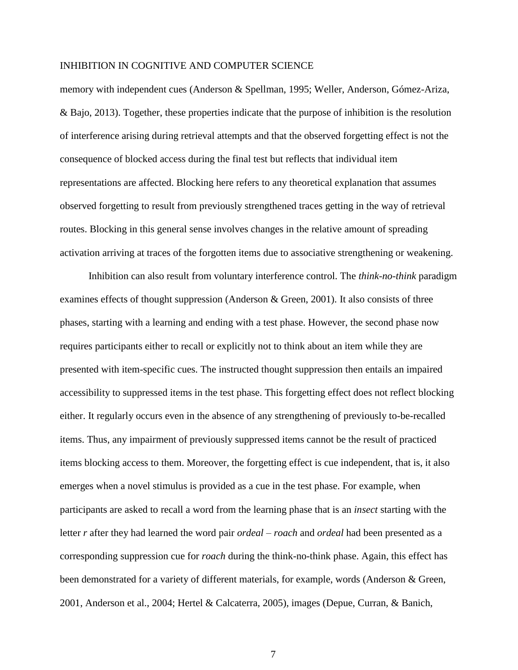memory with independent cues (Anderson & Spellman, 1995; Weller, Anderson, Gómez-Ariza, & Bajo, 2013). Together, these properties indicate that the purpose of inhibition is the resolution of interference arising during retrieval attempts and that the observed forgetting effect is not the consequence of blocked access during the final test but reflects that individual item representations are affected. Blocking here refers to any theoretical explanation that assumes observed forgetting to result from previously strengthened traces getting in the way of retrieval routes. Blocking in this general sense involves changes in the relative amount of spreading activation arriving at traces of the forgotten items due to associative strengthening or weakening.

Inhibition can also result from voluntary interference control. The *think-no-think* paradigm examines effects of thought suppression (Anderson & Green, 2001). It also consists of three phases, starting with a learning and ending with a test phase. However, the second phase now requires participants either to recall or explicitly not to think about an item while they are presented with item-specific cues. The instructed thought suppression then entails an impaired accessibility to suppressed items in the test phase. This forgetting effect does not reflect blocking either. It regularly occurs even in the absence of any strengthening of previously to-be-recalled items. Thus, any impairment of previously suppressed items cannot be the result of practiced items blocking access to them. Moreover, the forgetting effect is cue independent, that is, it also emerges when a novel stimulus is provided as a cue in the test phase. For example, when participants are asked to recall a word from the learning phase that is an *insect* starting with the letter *r* after they had learned the word pair *ordeal – roach* and *ordeal* had been presented as a corresponding suppression cue for *roach* during the think-no-think phase. Again, this effect has been demonstrated for a variety of different materials, for example, words (Anderson & Green, 2001, Anderson et al., 2004; Hertel & Calcaterra, 2005), images (Depue, Curran, & Banich,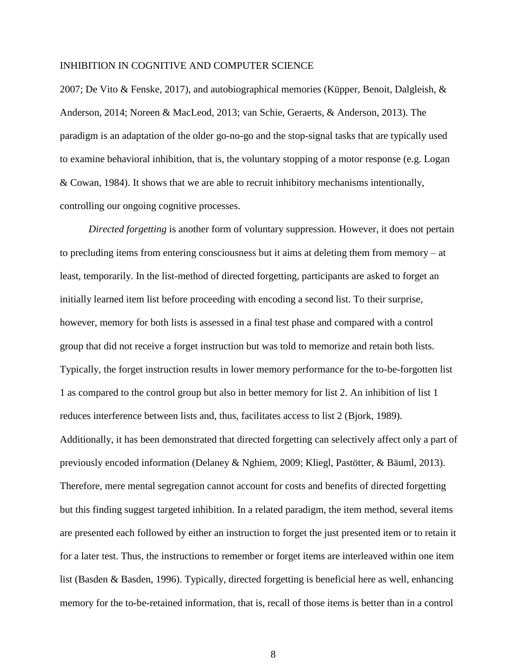2007; De Vito & Fenske, 2017), and autobiographical memories (Küpper, Benoit, Dalgleish, & Anderson, 2014; Noreen & MacLeod, 2013; van Schie, Geraerts, & Anderson, 2013). The paradigm is an adaptation of the older go-no-go and the stop-signal tasks that are typically used to examine behavioral inhibition, that is, the voluntary stopping of a motor response (e.g. Logan & Cowan, 1984). It shows that we are able to recruit inhibitory mechanisms intentionally, controlling our ongoing cognitive processes.

*Directed forgetting* is another form of voluntary suppression. However, it does not pertain to precluding items from entering consciousness but it aims at deleting them from memory – at least, temporarily. In the list-method of directed forgetting, participants are asked to forget an initially learned item list before proceeding with encoding a second list. To their surprise, however, memory for both lists is assessed in a final test phase and compared with a control group that did not receive a forget instruction but was told to memorize and retain both lists. Typically, the forget instruction results in lower memory performance for the to-be-forgotten list 1 as compared to the control group but also in better memory for list 2. An inhibition of list 1 reduces interference between lists and, thus, facilitates access to list 2 (Bjork, 1989). Additionally, it has been demonstrated that directed forgetting can selectively affect only a part of previously encoded information (Delaney & Nghiem, 2009; Kliegl, Pastötter, & Bäuml, 2013). Therefore, mere mental segregation cannot account for costs and benefits of directed forgetting but this finding suggest targeted inhibition. In a related paradigm, the item method, several items are presented each followed by either an instruction to forget the just presented item or to retain it for a later test. Thus, the instructions to remember or forget items are interleaved within one item list (Basden & Basden, 1996). Typically, directed forgetting is beneficial here as well, enhancing memory for the to-be-retained information, that is, recall of those items is better than in a control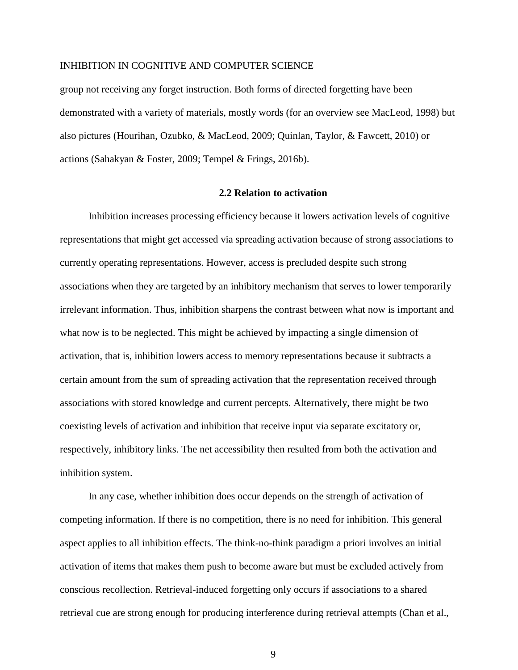group not receiving any forget instruction. Both forms of directed forgetting have been demonstrated with a variety of materials, mostly words (for an overview see MacLeod, 1998) but also pictures (Hourihan, Ozubko, & MacLeod, 2009; Quinlan, Taylor, & Fawcett, 2010) or actions (Sahakyan & Foster, 2009; Tempel & Frings, 2016b).

#### **2.2 Relation to activation**

Inhibition increases processing efficiency because it lowers activation levels of cognitive representations that might get accessed via spreading activation because of strong associations to currently operating representations. However, access is precluded despite such strong associations when they are targeted by an inhibitory mechanism that serves to lower temporarily irrelevant information. Thus, inhibition sharpens the contrast between what now is important and what now is to be neglected. This might be achieved by impacting a single dimension of activation, that is, inhibition lowers access to memory representations because it subtracts a certain amount from the sum of spreading activation that the representation received through associations with stored knowledge and current percepts. Alternatively, there might be two coexisting levels of activation and inhibition that receive input via separate excitatory or, respectively, inhibitory links. The net accessibility then resulted from both the activation and inhibition system.

In any case, whether inhibition does occur depends on the strength of activation of competing information. If there is no competition, there is no need for inhibition. This general aspect applies to all inhibition effects. The think-no-think paradigm a priori involves an initial activation of items that makes them push to become aware but must be excluded actively from conscious recollection. Retrieval-induced forgetting only occurs if associations to a shared retrieval cue are strong enough for producing interference during retrieval attempts (Chan et al.,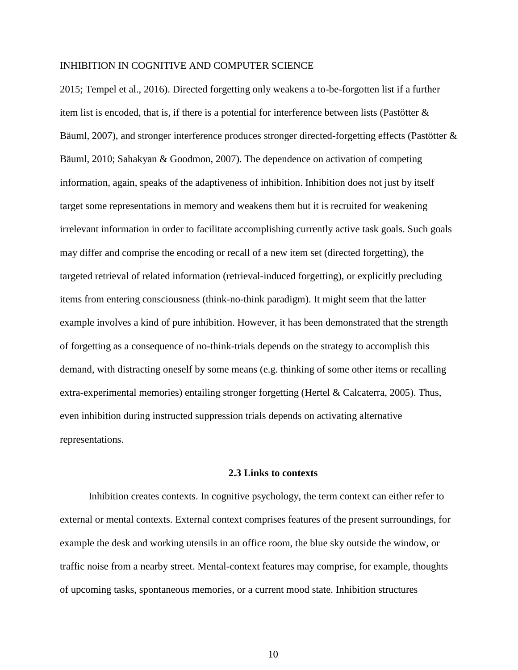2015; Tempel et al., 2016). Directed forgetting only weakens a to-be-forgotten list if a further item list is encoded, that is, if there is a potential for interference between lists (Pastötter & Bäuml, 2007), and stronger interference produces stronger directed-forgetting effects (Pastötter & Bäuml, 2010; Sahakyan & Goodmon, 2007). The dependence on activation of competing information, again, speaks of the adaptiveness of inhibition. Inhibition does not just by itself target some representations in memory and weakens them but it is recruited for weakening irrelevant information in order to facilitate accomplishing currently active task goals. Such goals may differ and comprise the encoding or recall of a new item set (directed forgetting), the targeted retrieval of related information (retrieval-induced forgetting), or explicitly precluding items from entering consciousness (think-no-think paradigm). It might seem that the latter example involves a kind of pure inhibition. However, it has been demonstrated that the strength of forgetting as a consequence of no-think-trials depends on the strategy to accomplish this demand, with distracting oneself by some means (e.g. thinking of some other items or recalling extra-experimental memories) entailing stronger forgetting (Hertel  $&$  Calcaterra, 2005). Thus, even inhibition during instructed suppression trials depends on activating alternative representations.

#### **2.3 Links to contexts**

Inhibition creates contexts. In cognitive psychology, the term context can either refer to external or mental contexts. External context comprises features of the present surroundings, for example the desk and working utensils in an office room, the blue sky outside the window, or traffic noise from a nearby street. Mental-context features may comprise, for example, thoughts of upcoming tasks, spontaneous memories, or a current mood state. Inhibition structures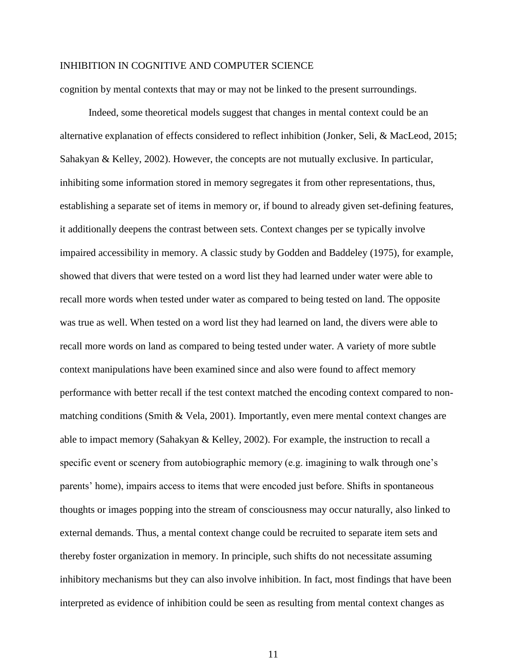cognition by mental contexts that may or may not be linked to the present surroundings.

Indeed, some theoretical models suggest that changes in mental context could be an alternative explanation of effects considered to reflect inhibition (Jonker, Seli, & MacLeod, 2015; Sahakyan & Kelley, 2002). However, the concepts are not mutually exclusive. In particular, inhibiting some information stored in memory segregates it from other representations, thus, establishing a separate set of items in memory or, if bound to already given set-defining features, it additionally deepens the contrast between sets. Context changes per se typically involve impaired accessibility in memory. A classic study by Godden and Baddeley (1975), for example, showed that divers that were tested on a word list they had learned under water were able to recall more words when tested under water as compared to being tested on land. The opposite was true as well. When tested on a word list they had learned on land, the divers were able to recall more words on land as compared to being tested under water. A variety of more subtle context manipulations have been examined since and also were found to affect memory performance with better recall if the test context matched the encoding context compared to nonmatching conditions (Smith & Vela, 2001). Importantly, even mere mental context changes are able to impact memory (Sahakyan & Kelley, 2002). For example, the instruction to recall a specific event or scenery from autobiographic memory (e.g. imagining to walk through one's parents' home), impairs access to items that were encoded just before. Shifts in spontaneous thoughts or images popping into the stream of consciousness may occur naturally, also linked to external demands. Thus, a mental context change could be recruited to separate item sets and thereby foster organization in memory. In principle, such shifts do not necessitate assuming inhibitory mechanisms but they can also involve inhibition. In fact, most findings that have been interpreted as evidence of inhibition could be seen as resulting from mental context changes as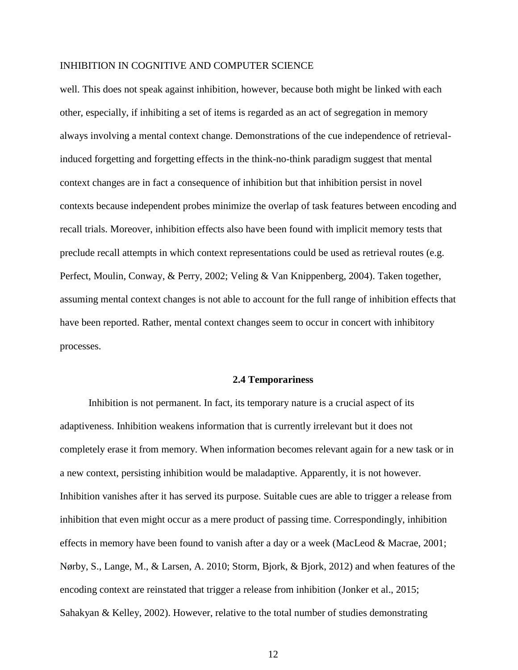well. This does not speak against inhibition, however, because both might be linked with each other, especially, if inhibiting a set of items is regarded as an act of segregation in memory always involving a mental context change. Demonstrations of the cue independence of retrievalinduced forgetting and forgetting effects in the think-no-think paradigm suggest that mental context changes are in fact a consequence of inhibition but that inhibition persist in novel contexts because independent probes minimize the overlap of task features between encoding and recall trials. Moreover, inhibition effects also have been found with implicit memory tests that preclude recall attempts in which context representations could be used as retrieval routes (e.g. Perfect, Moulin, Conway, & Perry, 2002; Veling & Van Knippenberg, 2004). Taken together, assuming mental context changes is not able to account for the full range of inhibition effects that have been reported. Rather, mental context changes seem to occur in concert with inhibitory processes.

#### **2.4 Temporariness**

Inhibition is not permanent. In fact, its temporary nature is a crucial aspect of its adaptiveness. Inhibition weakens information that is currently irrelevant but it does not completely erase it from memory. When information becomes relevant again for a new task or in a new context, persisting inhibition would be maladaptive. Apparently, it is not however. Inhibition vanishes after it has served its purpose. Suitable cues are able to trigger a release from inhibition that even might occur as a mere product of passing time. Correspondingly, inhibition effects in memory have been found to vanish after a day or a week (MacLeod & Macrae, 2001; Nørby, S., Lange, M., & Larsen, A. 2010; Storm, Bjork, & Bjork, 2012) and when features of the encoding context are reinstated that trigger a release from inhibition (Jonker et al., 2015; Sahakyan & Kelley, 2002). However, relative to the total number of studies demonstrating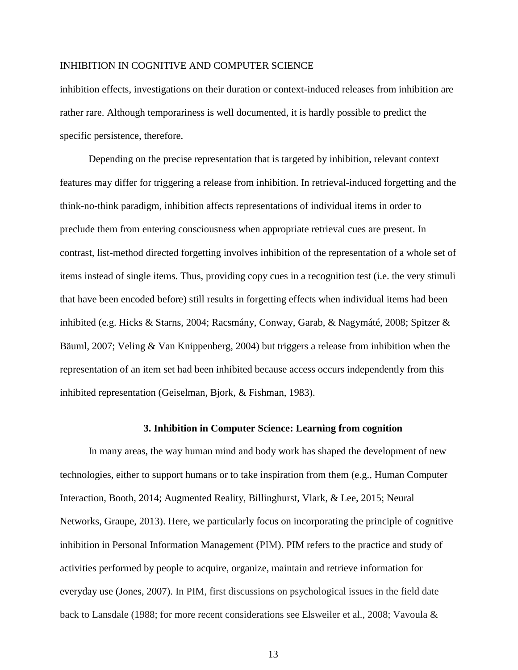inhibition effects, investigations on their duration or context-induced releases from inhibition are rather rare. Although temporariness is well documented, it is hardly possible to predict the specific persistence, therefore.

Depending on the precise representation that is targeted by inhibition, relevant context features may differ for triggering a release from inhibition. In retrieval-induced forgetting and the think-no-think paradigm, inhibition affects representations of individual items in order to preclude them from entering consciousness when appropriate retrieval cues are present. In contrast, list-method directed forgetting involves inhibition of the representation of a whole set of items instead of single items. Thus, providing copy cues in a recognition test (i.e. the very stimuli that have been encoded before) still results in forgetting effects when individual items had been inhibited (e.g. Hicks & Starns, 2004; Racsmány, Conway, Garab, & Nagymáté, 2008; Spitzer & Bäuml, 2007; Veling & Van Knippenberg, 2004) but triggers a release from inhibition when the representation of an item set had been inhibited because access occurs independently from this inhibited representation (Geiselman, Bjork, & Fishman, 1983).

#### **3. Inhibition in Computer Science: Learning from cognition**

In many areas, the way human mind and body work has shaped the development of new technologies, either to support humans or to take inspiration from them (e.g., Human Computer Interaction, Booth, 2014; Augmented Reality, Billinghurst, Vlark, & Lee, 2015; Neural Networks, Graupe, 2013). Here, we particularly focus on incorporating the principle of cognitive inhibition in Personal Information Management (PIM). PIM refers to the practice and study of activities performed by people to acquire, organize, maintain and retrieve information for everyday use (Jones, 2007). In PIM, first discussions on psychological issues in the field date back to Lansdale (1988; for more recent considerations see Elsweiler et al., 2008; Vavoula &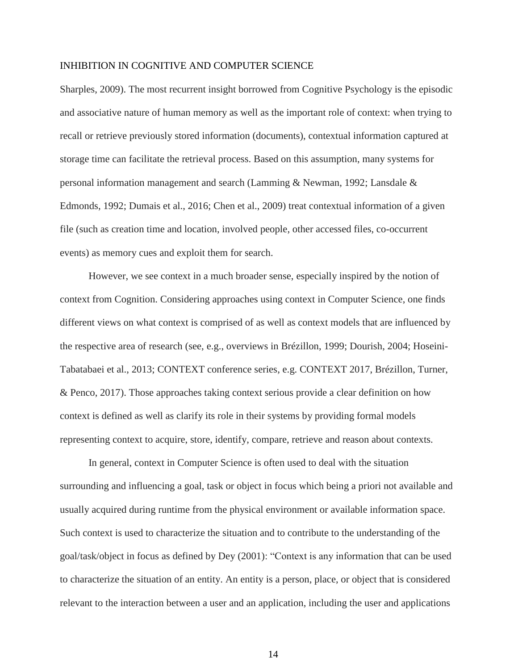Sharples, 2009). The most recurrent insight borrowed from Cognitive Psychology is the episodic and associative nature of human memory as well as the important role of context: when trying to recall or retrieve previously stored information (documents), contextual information captured at storage time can facilitate the retrieval process. Based on this assumption, many systems for personal information management and search (Lamming & Newman, 1992; Lansdale & Edmonds, 1992; Dumais et al., 2016; Chen et al., 2009) treat contextual information of a given file (such as creation time and location, involved people, other accessed files, co-occurrent events) as memory cues and exploit them for search.

However, we see context in a much broader sense, especially inspired by the notion of context from Cognition. Considering approaches using context in Computer Science, one finds different views on what context is comprised of as well as context models that are influenced by the respective area of research (see, e.g., overviews in Brézillon, 1999; Dourish, 2004; Hoseini-Tabatabaei et al., 2013; CONTEXT conference series, e.g. CONTEXT 2017, Brézillon, Turner, & Penco, 2017). Those approaches taking context serious provide a clear definition on how context is defined as well as clarify its role in their systems by providing formal models representing context to acquire, store, identify, compare, retrieve and reason about contexts.

In general, context in Computer Science is often used to deal with the situation surrounding and influencing a goal, task or object in focus which being a priori not available and usually acquired during runtime from the physical environment or available information space. Such context is used to characterize the situation and to contribute to the understanding of the goal/task/object in focus as defined by Dey (2001): "Context is any information that can be used to characterize the situation of an entity. An entity is a person, place, or object that is considered relevant to the interaction between a user and an application, including the user and applications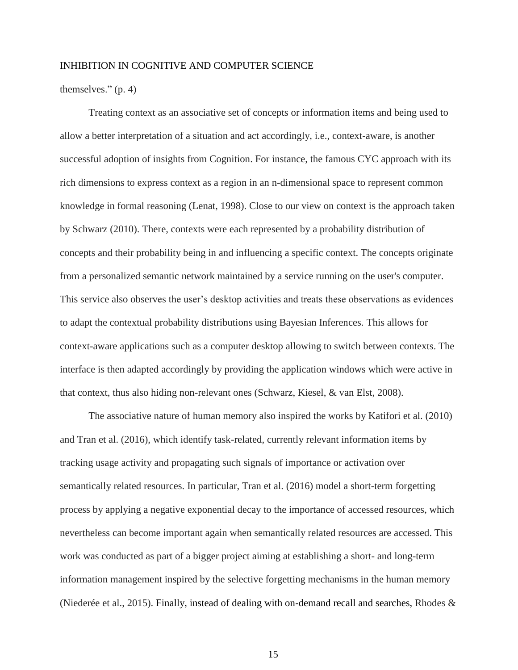themselves." (p. 4)

Treating context as an associative set of concepts or information items and being used to allow a better interpretation of a situation and act accordingly, i.e., context-aware, is another successful adoption of insights from Cognition. For instance, the famous CYC approach with its rich dimensions to express context as a region in an n-dimensional space to represent common knowledge in formal reasoning (Lenat, 1998). Close to our view on context is the approach taken by Schwarz (2010). There, contexts were each represented by a probability distribution of concepts and their probability being in and influencing a specific context. The concepts originate from a personalized semantic network maintained by a service running on the user's computer. This service also observes the user's desktop activities and treats these observations as evidences to adapt the contextual probability distributions using Bayesian Inferences. This allows for context-aware applications such as a computer desktop allowing to switch between contexts. The interface is then adapted accordingly by providing the application windows which were active in that context, thus also hiding non-relevant ones (Schwarz, Kiesel, & van Elst, 2008).

The associative nature of human memory also inspired the works by Katifori et al. (2010) and Tran et al. (2016), which identify task-related, currently relevant information items by tracking usage activity and propagating such signals of importance or activation over semantically related resources. In particular, Tran et al. (2016) model a short-term forgetting process by applying a negative exponential decay to the importance of accessed resources, which nevertheless can become important again when semantically related resources are accessed. This work was conducted as part of a bigger project aiming at establishing a short- and long-term information management inspired by the selective forgetting mechanisms in the human memory (Niederée et al., 2015). Finally, instead of dealing with on-demand recall and searches, Rhodes &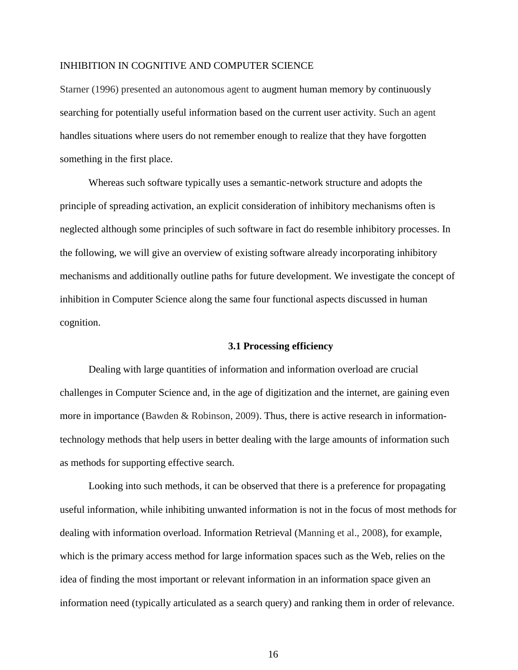Starner (1996) presented an autonomous agent to augment human memory by continuously searching for potentially useful information based on the current user activity. Such an agent handles situations where users do not remember enough to realize that they have forgotten something in the first place.

Whereas such software typically uses a semantic-network structure and adopts the principle of spreading activation, an explicit consideration of inhibitory mechanisms often is neglected although some principles of such software in fact do resemble inhibitory processes. In the following, we will give an overview of existing software already incorporating inhibitory mechanisms and additionally outline paths for future development. We investigate the concept of inhibition in Computer Science along the same four functional aspects discussed in human cognition.

#### **3.1 Processing efficiency**

Dealing with large quantities of information and information overload are crucial challenges in Computer Science and, in the age of digitization and the internet, are gaining even more in importance (Bawden & Robinson, 2009). Thus, there is active research in informationtechnology methods that help users in better dealing with the large amounts of information such as methods for supporting effective search.

Looking into such methods, it can be observed that there is a preference for propagating useful information, while inhibiting unwanted information is not in the focus of most methods for dealing with information overload. Information Retrieval (Manning et al., 2008), for example, which is the primary access method for large information spaces such as the Web, relies on the idea of finding the most important or relevant information in an information space given an information need (typically articulated as a search query) and ranking them in order of relevance.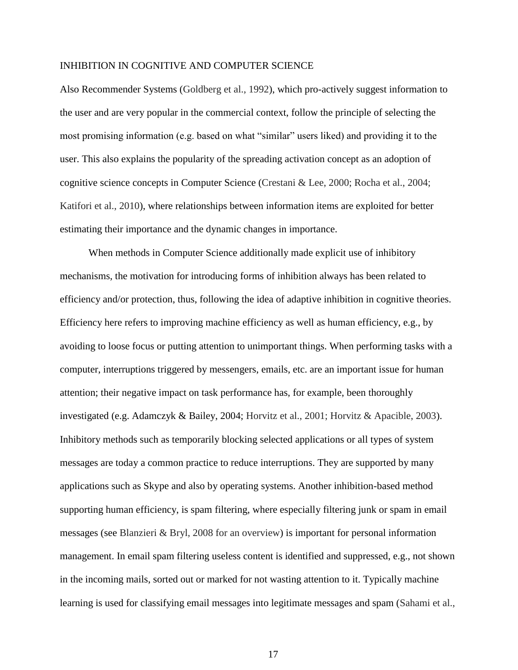Also Recommender Systems (Goldberg et al., 1992), which pro-actively suggest information to the user and are very popular in the commercial context, follow the principle of selecting the most promising information (e.g. based on what "similar" users liked) and providing it to the user. This also explains the popularity of the spreading activation concept as an adoption of cognitive science concepts in Computer Science (Crestani & Lee, 2000; Rocha et al., 2004; Katifori et al., 2010), where relationships between information items are exploited for better estimating their importance and the dynamic changes in importance.

When methods in Computer Science additionally made explicit use of inhibitory mechanisms, the motivation for introducing forms of inhibition always has been related to efficiency and/or protection, thus, following the idea of adaptive inhibition in cognitive theories. Efficiency here refers to improving machine efficiency as well as human efficiency, e.g., by avoiding to loose focus or putting attention to unimportant things. When performing tasks with a computer, interruptions triggered by messengers, emails, etc. are an important issue for human attention; their negative impact on task performance has, for example, been thoroughly investigated (e.g. Adamczyk & Bailey, 2004; Horvitz et al., 2001; Horvitz & Apacible, 2003). Inhibitory methods such as temporarily blocking selected applications or all types of system messages are today a common practice to reduce interruptions. They are supported by many applications such as Skype and also by operating systems. Another inhibition-based method supporting human efficiency, is spam filtering, where especially filtering junk or spam in email messages (see Blanzieri & Bryl, 2008 for an overview) is important for personal information management. In email spam filtering useless content is identified and suppressed, e.g., not shown in the incoming mails, sorted out or marked for not wasting attention to it. Typically machine learning is used for classifying email messages into legitimate messages and spam (Sahami et al.,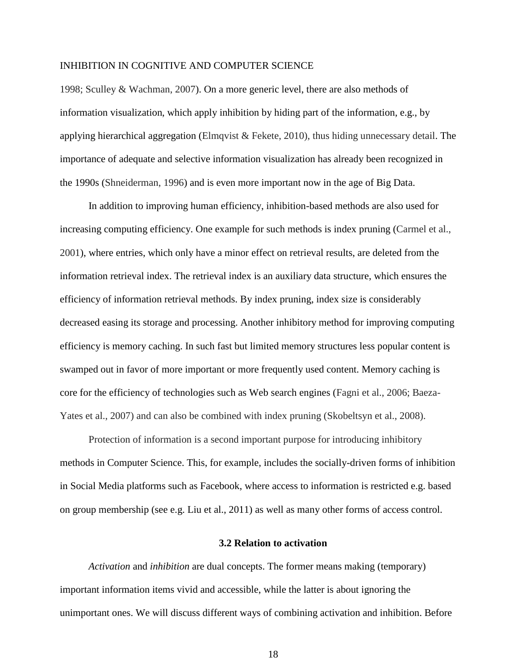1998; Sculley & Wachman, 2007). On a more generic level, there are also methods of information visualization, which apply inhibition by hiding part of the information, e.g., by applying hierarchical aggregation (Elmqvist & Fekete, 2010), thus hiding unnecessary detail. The importance of adequate and selective information visualization has already been recognized in the 1990s (Shneiderman, 1996) and is even more important now in the age of Big Data.

In addition to improving human efficiency, inhibition-based methods are also used for increasing computing efficiency. One example for such methods is index pruning (Carmel et al., 2001), where entries, which only have a minor effect on retrieval results, are deleted from the information retrieval index. The retrieval index is an auxiliary data structure, which ensures the efficiency of information retrieval methods. By index pruning, index size is considerably decreased easing its storage and processing. Another inhibitory method for improving computing efficiency is memory caching. In such fast but limited memory structures less popular content is swamped out in favor of more important or more frequently used content. Memory caching is core for the efficiency of technologies such as Web search engines (Fagni et al., 2006; Baeza-Yates et al., 2007) and can also be combined with index pruning (Skobeltsyn et al., 2008).

Protection of information is a second important purpose for introducing inhibitory methods in Computer Science. This, for example, includes the socially-driven forms of inhibition in Social Media platforms such as Facebook, where access to information is restricted e.g. based on group membership (see e.g. Liu et al., 2011) as well as many other forms of access control.

#### **3.2 Relation to activation**

*Activation* and *inhibition* are dual concepts. The former means making (temporary) important information items vivid and accessible, while the latter is about ignoring the unimportant ones. We will discuss different ways of combining activation and inhibition. Before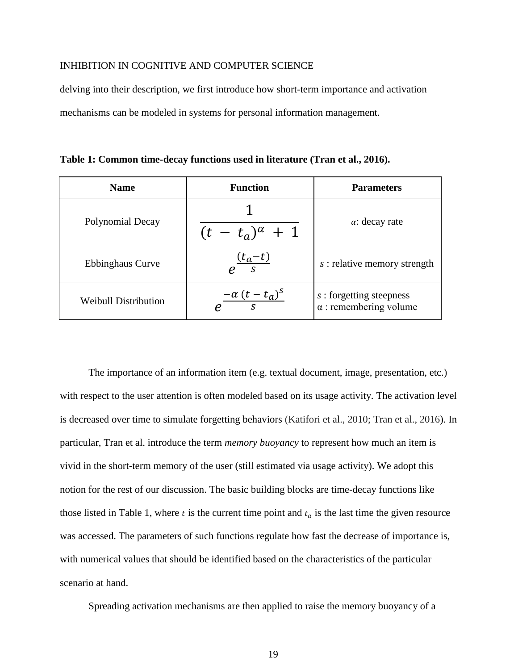delving into their description, we first introduce how short-term importance and activation mechanisms can be modeled in systems for personal information management.

| <b>Name</b>                 | <b>Function</b>          | <b>Parameters</b>                                           |
|-----------------------------|--------------------------|-------------------------------------------------------------|
| Polynomial Decay            | $(t - t_a)^{\alpha} + 1$ | $\alpha$ : decay rate                                       |
| Ebbinghaus Curve            | $\frac{(t_a-t)}{s}$      | s : relative memory strength                                |
| <b>Weibull Distribution</b> | $-\alpha (t-t_a)^s$      | $s$ : forgetting steepness<br>$\alpha$ : remembering volume |

**Table 1: Common time-decay functions used in literature (Tran et al., 2016).**

The importance of an information item (e.g. textual document, image, presentation, etc.) with respect to the user attention is often modeled based on its usage activity. The activation level is decreased over time to simulate forgetting behaviors (Katifori et al., 2010; Tran et al., 2016). In particular, Tran et al. introduce the term *memory buoyancy* to represent how much an item is vivid in the short-term memory of the user (still estimated via usage activity). We adopt this notion for the rest of our discussion. The basic building blocks are time-decay functions like those listed in Table 1, where  $t$  is the current time point and  $t_a$  is the last time the given resource was accessed. The parameters of such functions regulate how fast the decrease of importance is, with numerical values that should be identified based on the characteristics of the particular scenario at hand.

Spreading activation mechanisms are then applied to raise the memory buoyancy of a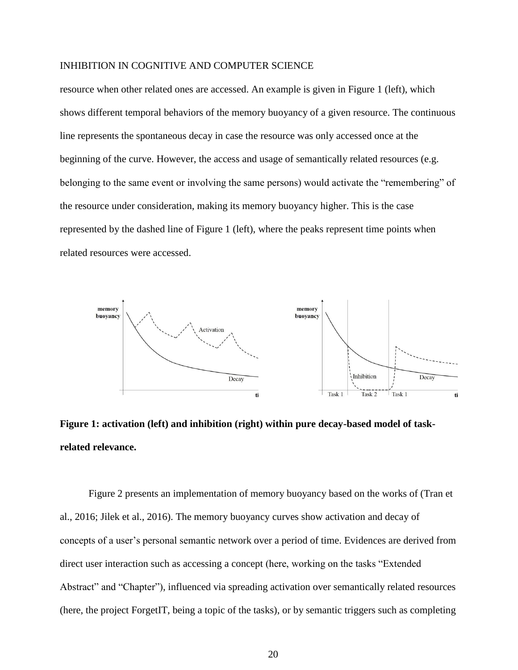resource when other related ones are accessed. An example is given in Figure 1 (left), which shows different temporal behaviors of the memory buoyancy of a given resource. The continuous line represents the spontaneous decay in case the resource was only accessed once at the beginning of the curve. However, the access and usage of semantically related resources (e.g. belonging to the same event or involving the same persons) would activate the "remembering" of the resource under consideration, making its memory buoyancy higher. This is the case represented by the dashed line of Figure 1 (left), where the peaks represent time points when related resources were accessed.





Figure 2 presents an implementation of memory buoyancy based on the works of (Tran et al., 2016; Jilek et al., 2016). The memory buoyancy curves show activation and decay of concepts of a user's personal semantic network over a period of time. Evidences are derived from direct user interaction such as accessing a concept (here, working on the tasks "Extended Abstract" and "Chapter"), influenced via spreading activation over semantically related resources (here, the project ForgetIT, being a topic of the tasks), or by semantic triggers such as completing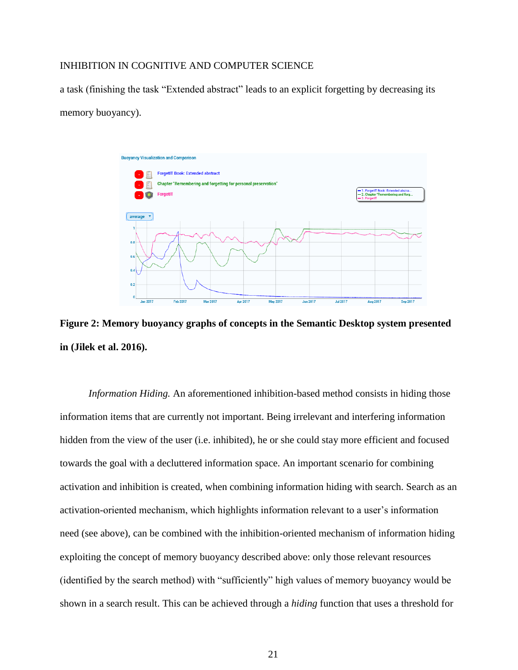a task (finishing the task "Extended abstract" leads to an explicit forgetting by decreasing its memory buoyancy).



**Figure 2: Memory buoyancy graphs of concepts in the Semantic Desktop system presented in (Jilek et al. 2016).**

*Information Hiding.* An aforementioned inhibition-based method consists in hiding those information items that are currently not important. Being irrelevant and interfering information hidden from the view of the user (i.e. inhibited), he or she could stay more efficient and focused towards the goal with a decluttered information space. An important scenario for combining activation and inhibition is created, when combining information hiding with search. Search as an activation-oriented mechanism, which highlights information relevant to a user's information need (see above), can be combined with the inhibition-oriented mechanism of information hiding exploiting the concept of memory buoyancy described above: only those relevant resources (identified by the search method) with "sufficiently" high values of memory buoyancy would be shown in a search result. This can be achieved through a *hiding* function that uses a threshold for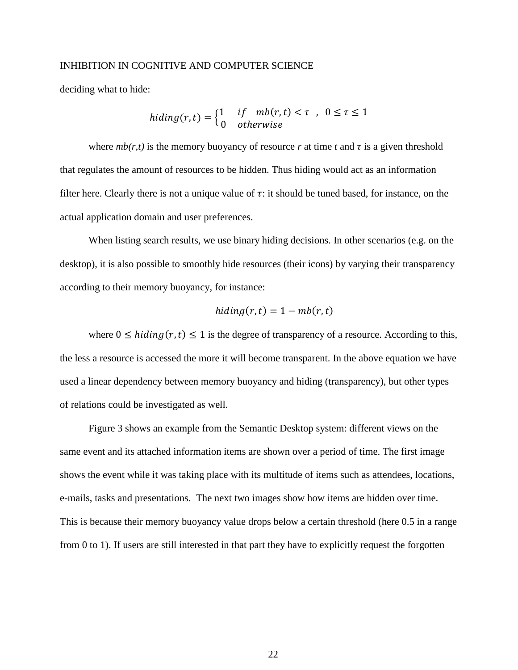deciding what to hide:

$$
hiding(r, t) = \begin{cases} 1 & if \quad mb(r, t) < \tau \\ 0 & otherwise \end{cases}, \quad 0 \le \tau \le 1
$$

where  $mb(r,t)$  is the memory buoyancy of resource r at time t and  $\tau$  is a given threshold that regulates the amount of resources to be hidden. Thus hiding would act as an information filter here. Clearly there is not a unique value of  $\tau$ : it should be tuned based, for instance, on the actual application domain and user preferences.

When listing search results, we use binary hiding decisions. In other scenarios (e.g. on the desktop), it is also possible to smoothly hide resources (their icons) by varying their transparency according to their memory buoyancy, for instance:

$$
hiding(r, t) = 1 - mb(r, t)
$$

where  $0 \leq \text{hiding}(r,t) \leq 1$  is the degree of transparency of a resource. According to this, the less a resource is accessed the more it will become transparent. In the above equation we have used a linear dependency between memory buoyancy and hiding (transparency), but other types of relations could be investigated as well.

Figure 3 shows an example from the Semantic Desktop system: different views on the same event and its attached information items are shown over a period of time. The first image shows the event while it was taking place with its multitude of items such as attendees, locations, e-mails, tasks and presentations. The next two images show how items are hidden over time. This is because their memory buoyancy value drops below a certain threshold (here 0.5 in a range from 0 to 1). If users are still interested in that part they have to explicitly request the forgotten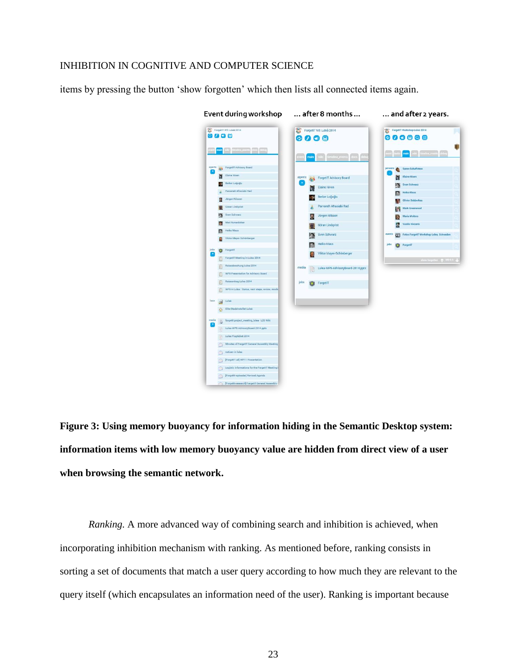items by pressing the button 'show forgotten' which then lists all connected items again.



**Figure 3: Using memory buoyancy for information hiding in the Semantic Desktop system: information items with low memory buoyancy value are hidden from direct view of a user when browsing the semantic network.**

*Ranking.* A more advanced way of combining search and inhibition is achieved, when incorporating inhibition mechanism with ranking. As mentioned before, ranking consists in sorting a set of documents that match a user query according to how much they are relevant to the query itself (which encapsulates an information need of the user). Ranking is important because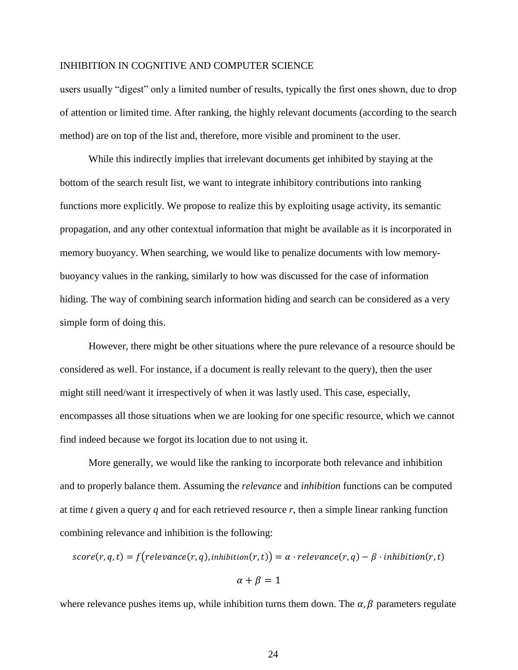users usually "digest" only a limited number of results, typically the first ones shown, due to drop of attention or limited time. After ranking, the highly relevant documents (according to the search method) are on top of the list and, therefore, more visible and prominent to the user.

While this indirectly implies that irrelevant documents get inhibited by staying at the bottom of the search result list, we want to integrate inhibitory contributions into ranking functions more explicitly. We propose to realize this by exploiting usage activity, its semantic propagation, and any other contextual information that might be available as it is incorporated in memory buoyancy. When searching, we would like to penalize documents with low memorybuoyancy values in the ranking, similarly to how was discussed for the case of information hiding. The way of combining search information hiding and search can be considered as a very simple form of doing this.

However, there might be other situations where the pure relevance of a resource should be considered as well. For instance, if a document is really relevant to the query), then the user might still need/want it irrespectively of when it was lastly used. This case, especially, encompasses all those situations when we are looking for one specific resource, which we cannot find indeed because we forgot its location due to not using it.

More generally, we would like the ranking to incorporate both relevance and inhibition and to properly balance them. Assuming the *relevance* and *inhibition* functions can be computed at time *t* given a query *q* and for each retrieved resource *r*, then a simple linear ranking function combining relevance and inhibition is the following:

 $score(r, q, t) = f(relevance(r, q), inhibition(r, t)) = \alpha \cdot relevance(r, q) - \beta \cdot inhibition(r, t)$  $\alpha + \beta = 1$ 

where relevance pushes items up, while inhibition turns them down. The  $\alpha$ ,  $\beta$  parameters regulate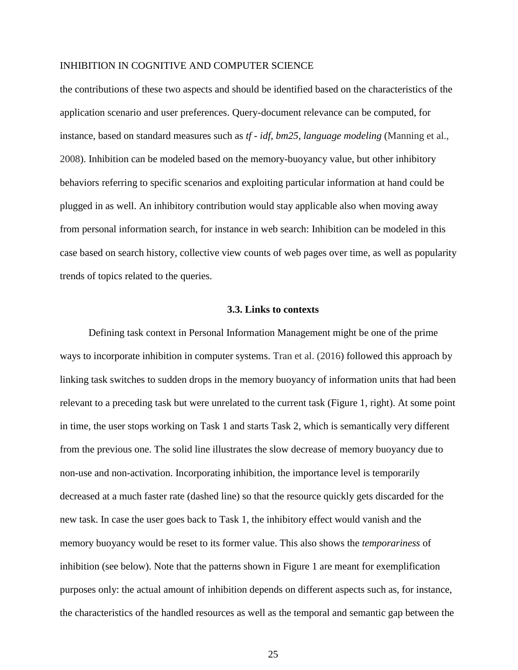the contributions of these two aspects and should be identified based on the characteristics of the application scenario and user preferences. Query-document relevance can be computed, for instance, based on standard measures such as *tf - idf*, *bm25*, *language modeling* (Manning et al., 2008). Inhibition can be modeled based on the memory-buoyancy value, but other inhibitory behaviors referring to specific scenarios and exploiting particular information at hand could be plugged in as well. An inhibitory contribution would stay applicable also when moving away from personal information search, for instance in web search: Inhibition can be modeled in this case based on search history, collective view counts of web pages over time, as well as popularity trends of topics related to the queries.

#### **3.3. Links to contexts**

Defining task context in Personal Information Management might be one of the prime ways to incorporate inhibition in computer systems. Tran et al. (2016) followed this approach by linking task switches to sudden drops in the memory buoyancy of information units that had been relevant to a preceding task but were unrelated to the current task (Figure 1, right). At some point in time, the user stops working on Task 1 and starts Task 2, which is semantically very different from the previous one. The solid line illustrates the slow decrease of memory buoyancy due to non-use and non-activation. Incorporating inhibition, the importance level is temporarily decreased at a much faster rate (dashed line) so that the resource quickly gets discarded for the new task. In case the user goes back to Task 1, the inhibitory effect would vanish and the memory buoyancy would be reset to its former value. This also shows the *temporariness* of inhibition (see below). Note that the patterns shown in Figure 1 are meant for exemplification purposes only: the actual amount of inhibition depends on different aspects such as, for instance, the characteristics of the handled resources as well as the temporal and semantic gap between the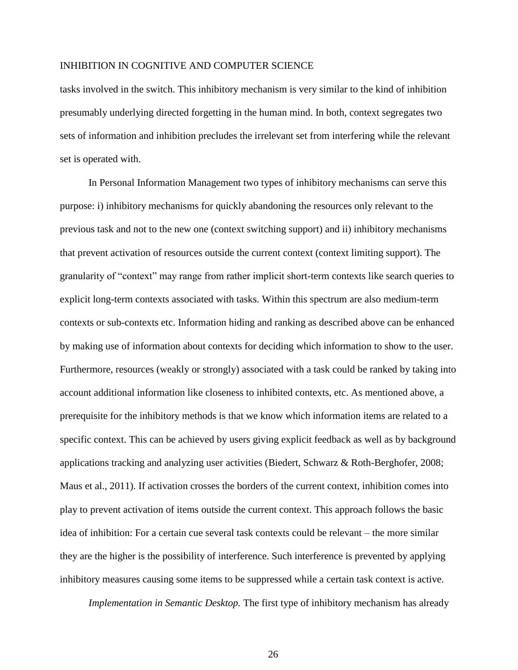tasks involved in the switch. This inhibitory mechanism is very similar to the kind of inhibition presumably underlying directed forgetting in the human mind. In both, context segregates two sets of information and inhibition precludes the irrelevant set from interfering while the relevant set is operated with.

In Personal Information Management two types of inhibitory mechanisms can serve this purpose: i) inhibitory mechanisms for quickly abandoning the resources only relevant to the previous task and not to the new one (context switching support) and ii) inhibitory mechanisms that prevent activation of resources outside the current context (context limiting support). The granularity of "context" may range from rather implicit short-term contexts like search queries to explicit long-term contexts associated with tasks. Within this spectrum are also medium-term contexts or sub-contexts etc. Information hiding and ranking as described above can be enhanced by making use of information about contexts for deciding which information to show to the user. Furthermore, resources (weakly or strongly) associated with a task could be ranked by taking into account additional information like closeness to inhibited contexts, etc. As mentioned above, a prerequisite for the inhibitory methods is that we know which information items are related to a specific context. This can be achieved by users giving explicit feedback as well as by background applications tracking and analyzing user activities (Biedert, Schwarz & Roth-Berghofer, 2008; Maus et al., 2011). If activation crosses the borders of the current context, inhibition comes into play to prevent activation of items outside the current context. This approach follows the basic idea of inhibition: For a certain cue several task contexts could be relevant – the more similar they are the higher is the possibility of interference. Such interference is prevented by applying inhibitory measures causing some items to be suppressed while a certain task context is active.

*Implementation in Semantic Desktop.* The first type of inhibitory mechanism has already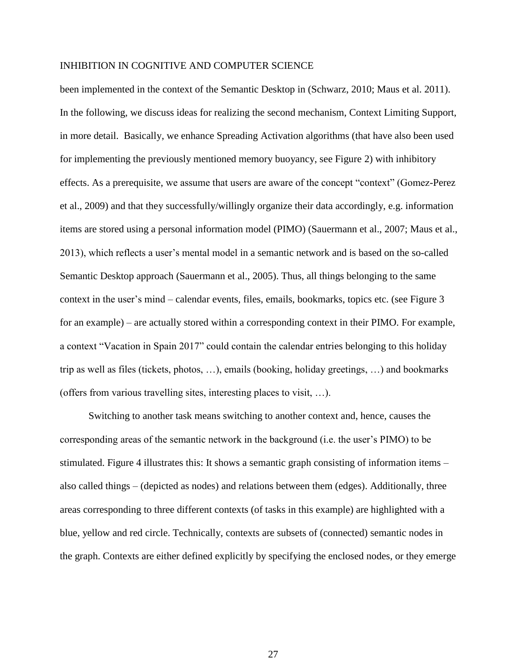been implemented in the context of the Semantic Desktop in (Schwarz, 2010; Maus et al. 2011). In the following, we discuss ideas for realizing the second mechanism, Context Limiting Support, in more detail. Basically, we enhance Spreading Activation algorithms (that have also been used for implementing the previously mentioned memory buoyancy, see Figure 2) with inhibitory effects. As a prerequisite, we assume that users are aware of the concept "context" (Gomez-Perez et al., 2009) and that they successfully/willingly organize their data accordingly, e.g. information items are stored using a personal information model (PIMO) (Sauermann et al., 2007; Maus et al., 2013), which reflects a user's mental model in a semantic network and is based on the so-called Semantic Desktop approach (Sauermann et al., 2005). Thus, all things belonging to the same context in the user's mind – calendar events, files, emails, bookmarks, topics etc. (see Figure 3 for an example) – are actually stored within a corresponding context in their PIMO. For example, a context "Vacation in Spain 2017" could contain the calendar entries belonging to this holiday trip as well as files (tickets, photos, …), emails (booking, holiday greetings, …) and bookmarks (offers from various travelling sites, interesting places to visit, …).

Switching to another task means switching to another context and, hence, causes the corresponding areas of the semantic network in the background (i.e. the user's PIMO) to be stimulated. Figure 4 illustrates this: It shows a semantic graph consisting of information items – also called things – (depicted as nodes) and relations between them (edges). Additionally, three areas corresponding to three different contexts (of tasks in this example) are highlighted with a blue, yellow and red circle. Technically, contexts are subsets of (connected) semantic nodes in the graph. Contexts are either defined explicitly by specifying the enclosed nodes, or they emerge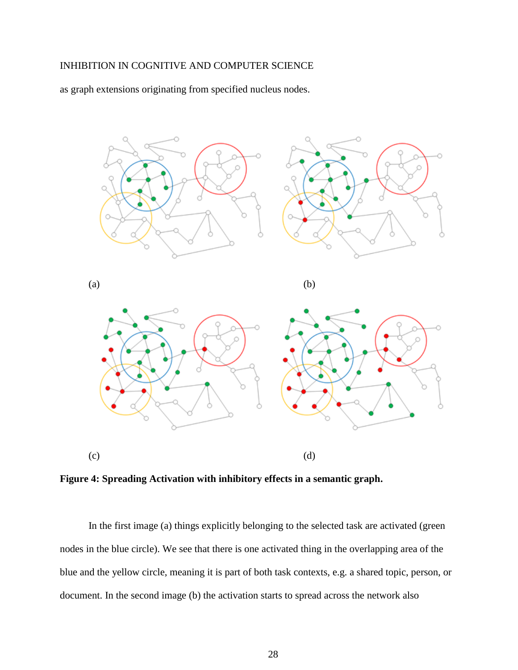as graph extensions originating from specified nucleus nodes.



**Figure 4: Spreading Activation with inhibitory effects in a semantic graph.**

In the first image (a) things explicitly belonging to the selected task are activated (green nodes in the blue circle). We see that there is one activated thing in the overlapping area of the blue and the yellow circle, meaning it is part of both task contexts, e.g. a shared topic, person, or document. In the second image (b) the activation starts to spread across the network also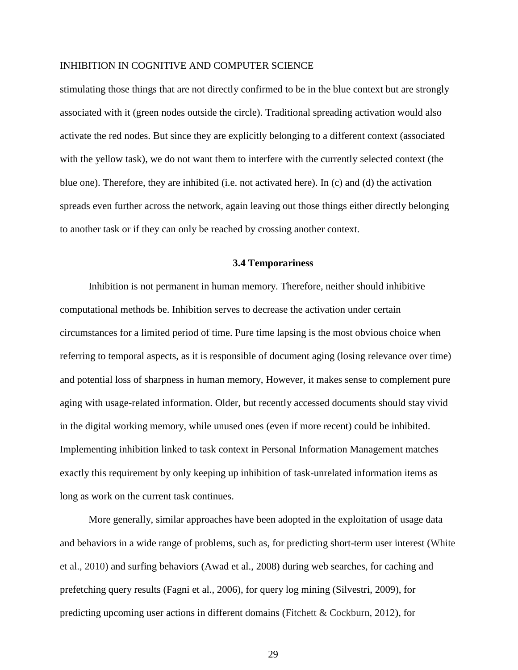stimulating those things that are not directly confirmed to be in the blue context but are strongly associated with it (green nodes outside the circle). Traditional spreading activation would also activate the red nodes. But since they are explicitly belonging to a different context (associated with the yellow task), we do not want them to interfere with the currently selected context (the blue one). Therefore, they are inhibited (i.e. not activated here). In (c) and (d) the activation spreads even further across the network, again leaving out those things either directly belonging to another task or if they can only be reached by crossing another context.

#### **3.4 Temporariness**

Inhibition is not permanent in human memory. Therefore, neither should inhibitive computational methods be. Inhibition serves to decrease the activation under certain circumstances for a limited period of time. Pure time lapsing is the most obvious choice when referring to temporal aspects, as it is responsible of document aging (losing relevance over time) and potential loss of sharpness in human memory, However, it makes sense to complement pure aging with usage-related information. Older, but recently accessed documents should stay vivid in the digital working memory, while unused ones (even if more recent) could be inhibited. Implementing inhibition linked to task context in Personal Information Management matches exactly this requirement by only keeping up inhibition of task-unrelated information items as long as work on the current task continues.

More generally, similar approaches have been adopted in the exploitation of usage data and behaviors in a wide range of problems, such as, for predicting short-term user interest (White et al., 2010) and surfing behaviors (Awad et al., 2008) during web searches, for caching and prefetching query results (Fagni et al., 2006), for query log mining (Silvestri, 2009), for predicting upcoming user actions in different domains (Fitchett & Cockburn, 2012), for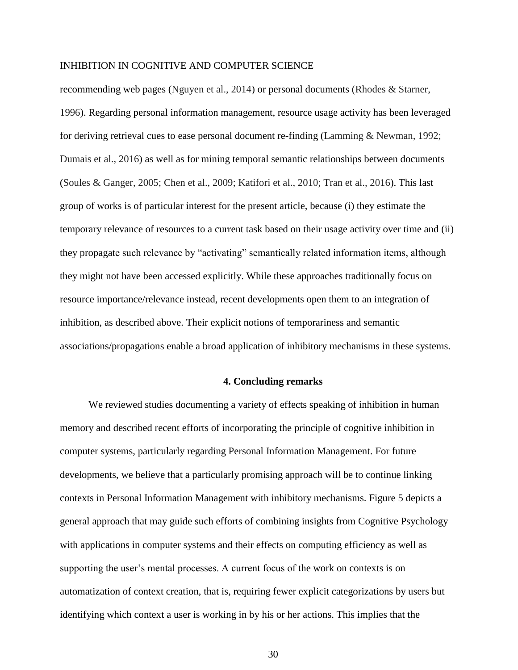recommending web pages (Nguyen et al., 2014) or personal documents (Rhodes & Starner, 1996). Regarding personal information management, resource usage activity has been leveraged for deriving retrieval cues to ease personal document re-finding (Lamming & Newman, 1992; Dumais et al., 2016) as well as for mining temporal semantic relationships between documents (Soules & Ganger, 2005; Chen et al., 2009; Katifori et al., 2010; Tran et al., 2016). This last group of works is of particular interest for the present article, because (i) they estimate the temporary relevance of resources to a current task based on their usage activity over time and (ii) they propagate such relevance by "activating" semantically related information items, although they might not have been accessed explicitly. While these approaches traditionally focus on resource importance/relevance instead, recent developments open them to an integration of inhibition, as described above. Their explicit notions of temporariness and semantic associations/propagations enable a broad application of inhibitory mechanisms in these systems.

#### **4. Concluding remarks**

We reviewed studies documenting a variety of effects speaking of inhibition in human memory and described recent efforts of incorporating the principle of cognitive inhibition in computer systems, particularly regarding Personal Information Management. For future developments, we believe that a particularly promising approach will be to continue linking contexts in Personal Information Management with inhibitory mechanisms. Figure 5 depicts a general approach that may guide such efforts of combining insights from Cognitive Psychology with applications in computer systems and their effects on computing efficiency as well as supporting the user's mental processes. A current focus of the work on contexts is on automatization of context creation, that is, requiring fewer explicit categorizations by users but identifying which context a user is working in by his or her actions. This implies that the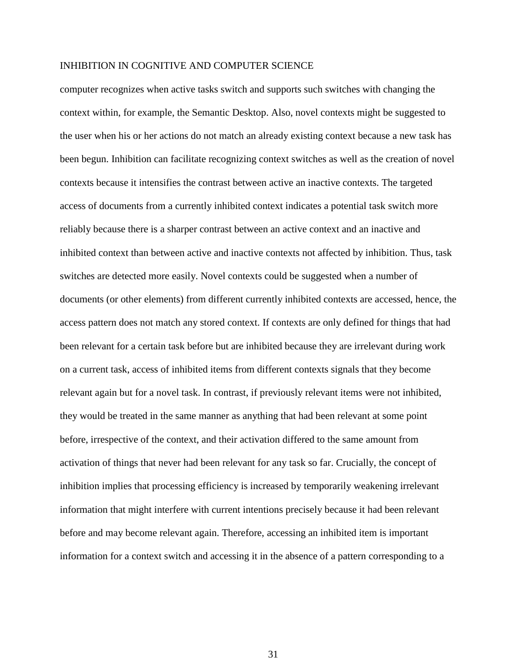computer recognizes when active tasks switch and supports such switches with changing the context within, for example, the Semantic Desktop. Also, novel contexts might be suggested to the user when his or her actions do not match an already existing context because a new task has been begun. Inhibition can facilitate recognizing context switches as well as the creation of novel contexts because it intensifies the contrast between active an inactive contexts. The targeted access of documents from a currently inhibited context indicates a potential task switch more reliably because there is a sharper contrast between an active context and an inactive and inhibited context than between active and inactive contexts not affected by inhibition. Thus, task switches are detected more easily. Novel contexts could be suggested when a number of documents (or other elements) from different currently inhibited contexts are accessed, hence, the access pattern does not match any stored context. If contexts are only defined for things that had been relevant for a certain task before but are inhibited because they are irrelevant during work on a current task, access of inhibited items from different contexts signals that they become relevant again but for a novel task. In contrast, if previously relevant items were not inhibited, they would be treated in the same manner as anything that had been relevant at some point before, irrespective of the context, and their activation differed to the same amount from activation of things that never had been relevant for any task so far. Crucially, the concept of inhibition implies that processing efficiency is increased by temporarily weakening irrelevant information that might interfere with current intentions precisely because it had been relevant before and may become relevant again. Therefore, accessing an inhibited item is important information for a context switch and accessing it in the absence of a pattern corresponding to a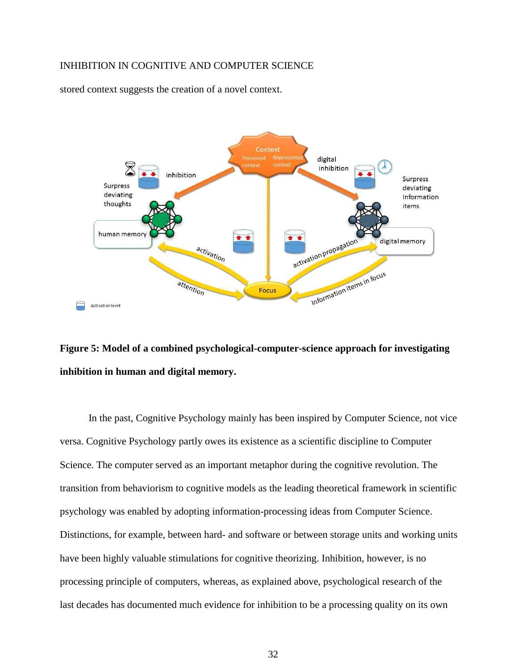stored context suggests the creation of a novel context.





In the past, Cognitive Psychology mainly has been inspired by Computer Science, not vice versa. Cognitive Psychology partly owes its existence as a scientific discipline to Computer Science. The computer served as an important metaphor during the cognitive revolution. The transition from behaviorism to cognitive models as the leading theoretical framework in scientific psychology was enabled by adopting information-processing ideas from Computer Science. Distinctions, for example, between hard- and software or between storage units and working units have been highly valuable stimulations for cognitive theorizing. Inhibition, however, is no processing principle of computers, whereas, as explained above, psychological research of the last decades has documented much evidence for inhibition to be a processing quality on its own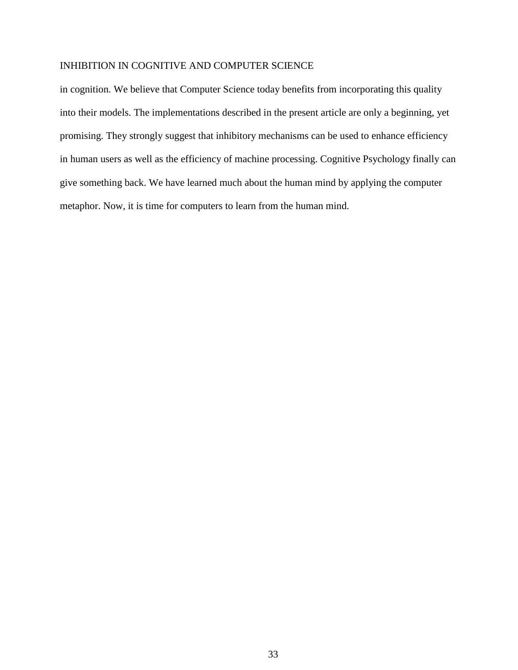in cognition. We believe that Computer Science today benefits from incorporating this quality into their models. The implementations described in the present article are only a beginning, yet promising. They strongly suggest that inhibitory mechanisms can be used to enhance efficiency in human users as well as the efficiency of machine processing. Cognitive Psychology finally can give something back. We have learned much about the human mind by applying the computer metaphor. Now, it is time for computers to learn from the human mind.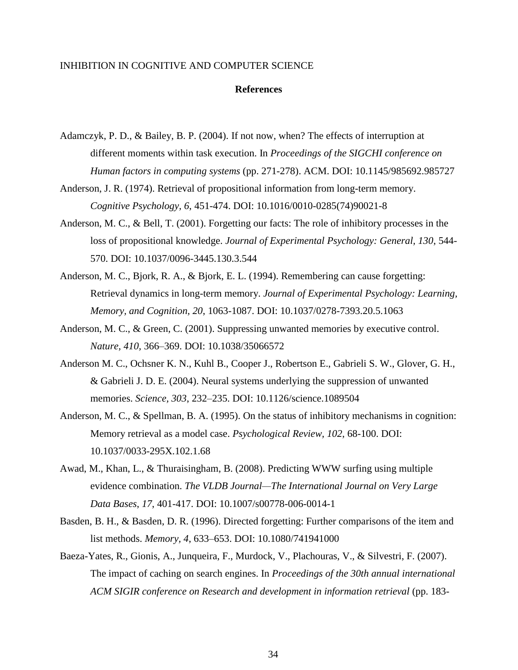#### **References**

- Adamczyk, P. D., & Bailey, B. P. (2004). If not now, when? The effects of interruption at different moments within task execution. In *Proceedings of the SIGCHI conference on Human factors in computing systems* (pp. 271-278). ACM. DOI: [10.1145/985692.985727](https://doi.org/10.1145/985692.985727)
- Anderson, J. R. (1974). Retrieval of propositional information from long-term memory. *Cognitive Psychology, 6*, 451-474. DOI: [10.1016/0010-0285\(74\)90021-8](http://dx.doi.org/10.1016/0010-0285(74)90021-8)
- Anderson, M. C., & Bell, T. (2001). Forgetting our facts: The role of inhibitory processes in the loss of propositional knowledge. *Journal of Experimental Psychology: General, 130*, 544- 570. DOI: [10.1037/0096-3445.130.3.544](http://psycnet.apa.org/doi/10.1037/0096-3445.130.3.544)
- Anderson, M. C., Bjork, R. A., & Bjork, E. L. (1994). Remembering can cause forgetting: Retrieval dynamics in long-term memory. *Journal of Experimental Psychology: Learning, Memory, and Cognition, 20*, 1063-1087. DOI: [10.1037/0278-7393.20.5.1063](http://psycnet.apa.org/doi/10.1037/0278-7393.20.5.1063)
- Anderson, M. C., & Green, C. (2001). Suppressing unwanted memories by executive control. *Nature, 410,* 366–369. DOI: 10.1038/35066572
- Anderson M. C., Ochsner K. N., Kuhl B., Cooper J., Robertson E., Gabrieli S. W., Glover, G. H., & Gabrieli J. D. E. (2004). Neural systems underlying the suppression of unwanted memories. *Science, 303*, 232–235. DOI: 10.1126/science.1089504
- Anderson, M. C., & Spellman, B. A. (1995). On the status of inhibitory mechanisms in cognition: Memory retrieval as a model case. *Psychological Review, 102*, 68-100. DOI: [10.1037/0033-295X.102.1.68](http://psycnet.apa.org/doi/10.1037/0033-295X.102.1.68)
- Awad, M., Khan, L., & Thuraisingham, B. (2008). Predicting WWW surfing using multiple evidence combination. *The VLDB Journal—The International Journal on Very Large Data Bases*, *17*, 401-417. DOI: [10.1007/s00778-006-0014-1](https://doi.org/10.1007/s00778-006-0014-1)
- Basden, B. H., & Basden, D. R. (1996). Directed forgetting: Further comparisons of the item and list methods. *Memory, 4*, 633–653. DOI: [10.1080/741941000](http://dx.doi.org/10.1080/741941000)
- Baeza-Yates, R., Gionis, A., Junqueira, F., Murdock, V., Plachouras, V., & Silvestri, F. (2007). The impact of caching on search engines. In *Proceedings of the 30th annual international ACM SIGIR conference on Research and development in information retrieval* (pp. 183-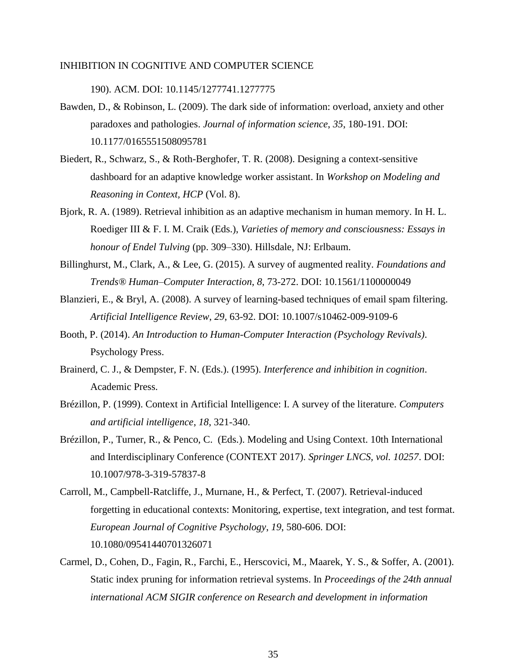190). ACM. DOI: [10.1145/1277741.1277775](https://doi.org/10.1145/1277741.1277775)

- Bawden, D., & Robinson, L. (2009). The dark side of information: overload, anxiety and other paradoxes and pathologies. *Journal of information science*, *35*, 180-191. DOI: 10.1177/0165551508095781
- Biedert, R., Schwarz, S., & Roth-Berghofer, T. R. (2008). Designing a context-sensitive dashboard for an adaptive knowledge worker assistant. In *Workshop on Modeling and Reasoning in Context, HCP* (Vol. 8).
- Bjork, R. A. (1989). Retrieval inhibition as an adaptive mechanism in human memory. In H. L. Roediger III & F. I. M. Craik (Eds.), *Varieties of memory and consciousness: Essays in honour of Endel Tulving* (pp. 309–330). Hillsdale, NJ: Erlbaum.
- Billinghurst, M., Clark, A., & Lee, G. (2015). A survey of augmented reality. *Foundations and Trends® Human–Computer Interaction*, *8*, 73-272. DOI: [10.1561/1100000049](http://dx.doi.org/10.1561/1100000049)
- Blanzieri, E., & Bryl, A. (2008). A survey of learning-based techniques of email spam filtering. *Artificial Intelligence Review*, *29*, 63-92. DOI: 10.1007/s10462-009-9109-6
- Booth, P. (2014). *An Introduction to Human-Computer Interaction (Psychology Revivals)*. Psychology Press.
- Brainerd, C. J., & Dempster, F. N. (Eds.). (1995). *Interference and inhibition in cognition*. Academic Press.
- Brézillon, P. (1999). Context in Artificial Intelligence: I. A survey of the literature. *Computers and artificial intelligence*, *18*, 321-340.
- Brézillon, P., Turner, R., & Penco, C. (Eds.). Modeling and Using Context. 10th International and Interdisciplinary Conference (CONTEXT 2017). *Springer LNCS, vol. 10257*. DOI: 10.1007/978-3-319-57837-8
- Carroll, M., Campbell-Ratcliffe, J., Murnane, H., & Perfect, T. (2007). Retrieval-induced forgetting in educational contexts: Monitoring, expertise, text integration, and test format. *European Journal of Cognitive Psychology*, *19*, 580-606. DOI: 10.1080/09541440701326071
- Carmel, D., Cohen, D., Fagin, R., Farchi, E., Herscovici, M., Maarek, Y. S., & Soffer, A. (2001). Static index pruning for information retrieval systems. In *Proceedings of the 24th annual international ACM SIGIR conference on Research and development in information*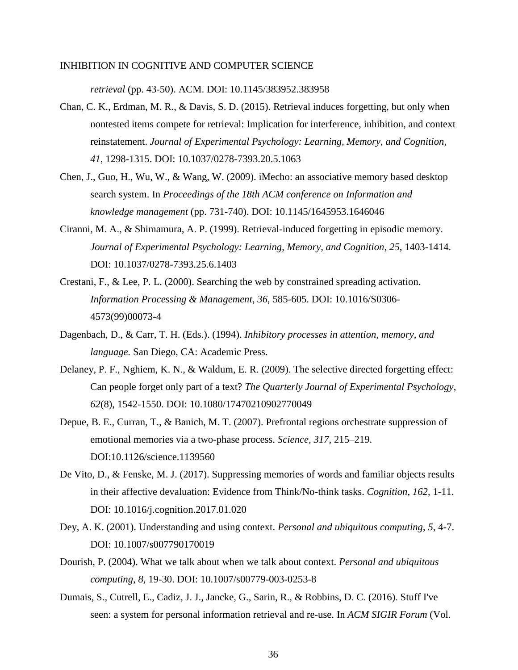*retrieval* (pp. 43-50). ACM. DOI: [10.1145/383952.383958](https://doi.org/10.1145/383952.383958)

- Chan, C. K., Erdman, M. R., & Davis, S. D. (2015). Retrieval induces forgetting, but only when nontested items compete for retrieval: Implication for interference, inhibition, and context reinstatement. *Journal of Experimental Psychology: Learning, Memory, and Cognition, 41*, 1298-1315. DOI: 10.1037/0278-7393.20.5.1063
- Chen, J., Guo, H., Wu, W., & Wang, W. (2009). iMecho: an associative memory based desktop search system. In *Proceedings of the 18th ACM conference on Information and knowledge management* (pp. 731-740). DOI: [10.1145/1645953.1646046](https://doi.org/10.1145/1645953.1646046)
- Ciranni, M. A., & Shimamura, A. P. (1999). Retrieval-induced forgetting in episodic memory. *Journal of Experimental Psychology: Learning, Memory, and Cognition*, *25*, 1403-1414. DOI: [10.1037/0278-7393.25.6.1403](http://psycnet.apa.org/doi/10.1037/0278-7393.25.6.1403)
- Crestani, F., & Lee, P. L. (2000). Searching the web by constrained spreading activation. *Information Processing & Management*, *36*, 585-605. DOI: [10.1016/S0306-](https://doi.org/10.1016/S0306-4573(99)00073-4) [4573\(99\)00073-4](https://doi.org/10.1016/S0306-4573(99)00073-4)
- Dagenbach, D., & Carr, T. H. (Eds.). (1994). *Inhibitory processes in attention, memory, and language.* San Diego, CA: Academic Press.
- Delaney, P. F., Nghiem, K. N., & Waldum, E. R. (2009). The selective directed forgetting effect: Can people forget only part of a text? *The Quarterly Journal of Experimental Psychology*, *62*(8), 1542-1550. DOI: [10.1080/17470210902770049](http://dx.doi.org/10.1080/17470210902770049)
- Depue, B. E., Curran, T., & Banich, M. T. (2007). Prefrontal regions orchestrate suppression of emotional memories via a two-phase process. *Science, 317,* 215–219. DOI:10.1126/science.1139560
- De Vito, D., & Fenske, M. J. (2017). Suppressing memories of words and familiar objects results in their affective devaluation: Evidence from Think/No-think tasks. *Cognition, 162*, 1-11. DOI: [10.1016/j.cognition.2017.01.020](http://dx.doi.org/10.1016/j.cognition.2017.01.020)
- Dey, A. K. (2001). Understanding and using context. *Personal and ubiquitous computing*, *5*, 4-7. DOI: [10.1007/s007790170019](https://doi.org/10.1007/s007790170019)
- Dourish, P. (2004). What we talk about when we talk about context. *Personal and ubiquitous computing*, *8*, 19-30. DOI: [10.1007/s00779-003-0253-8](https://doi.org/10.1007/s00779-003-0253-8)
- Dumais, S., Cutrell, E., Cadiz, J. J., Jancke, G., Sarin, R., & Robbins, D. C. (2016). Stuff I've seen: a system for personal information retrieval and re-use. In *ACM SIGIR Forum* (Vol.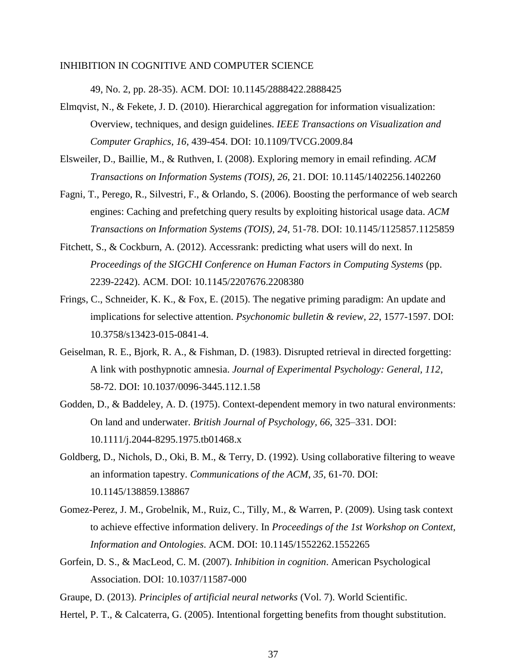49, No. 2, pp. 28-35). ACM. DOI: [10.1145/2888422.2888425](https://doi.org/10.1145/2888422.2888425)

- Elmqvist, N., & Fekete, J. D. (2010). Hierarchical aggregation for information visualization: Overview, techniques, and design guidelines. *IEEE Transactions on Visualization and Computer Graphics*, *16*, 439-454. DOI: [10.1109/TVCG.2009.84](https://doi.org/10.1109/TVCG.2009.84)
- Elsweiler, D., Baillie, M., & Ruthven, I. (2008). Exploring memory in email refinding. *ACM Transactions on Information Systems (TOIS)*, *26*, 21. DOI: [10.1145/1402256.1402260](https://doi.org/10.1145/1402256.1402260)
- Fagni, T., Perego, R., Silvestri, F., & Orlando, S. (2006). Boosting the performance of web search engines: Caching and prefetching query results by exploiting historical usage data. *ACM Transactions on Information Systems (TOIS)*, *24*, 51-78. DOI: [10.1145/1125857.1125859](https://doi.org/10.1145/1125857.1125859)
- Fitchett, S., & Cockburn, A. (2012). Accessrank: predicting what users will do next. In *Proceedings of the SIGCHI Conference on Human Factors in Computing Systems* (pp. 2239-2242). ACM. DOI: [10.1145/2207676.2208380](https://doi.org/10.1145/2207676.2208380)
- Frings, C., Schneider, K. K., & Fox, E. (2015). The negative priming paradigm: An update and implications for selective attention. *Psychonomic bulletin & review*, *22*, 1577-1597. DOI: 10.3758/s13423-015-0841-4.
- Geiselman, R. E., Bjork, R. A., & Fishman, D. (1983). Disrupted retrieval in directed forgetting: A link with posthypnotic amnesia. *Journal of Experimental Psychology: General, 112*, 58-72. DOI: [10.1037/0096-3445.112.1.58](http://psycnet.apa.org/doi/10.1037/0096-3445.112.1.58)
- Godden, D., & Baddeley, A. D. (1975). Context-dependent memory in two natural environments: On land and underwater. *British Journal of Psychology, 66*, 325–331. DOI: 10.1111/j.2044-8295.1975.tb01468.x
- Goldberg, D., Nichols, D., Oki, B. M., & Terry, D. (1992). Using collaborative filtering to weave an information tapestry. *Communications of the ACM*, *35*, 61-70. DOI: [10.1145/138859.138867](https://doi.org/10.1145/138859.138867)
- Gomez-Perez, J. M., Grobelnik, M., Ruiz, C., Tilly, M., & Warren, P. (2009). Using task context to achieve effective information delivery. In *Proceedings of the 1st Workshop on Context, Information and Ontologies*. ACM. DOI: [10.1145/1552262.1552265](https://doi.org/10.1145/1552262.1552265)
- Gorfein, D. S., & MacLeod, C. M. (2007). *Inhibition in cognition*. American Psychological Association. DOI: [10.1037/11587-000](http://psycnet.apa.org/doi/10.1037/11587-000)
- Graupe, D. (2013). *Principles of artificial neural networks* (Vol. 7). World Scientific.
- Hertel, P. T., & Calcaterra, G. (2005). Intentional forgetting benefits from thought substitution.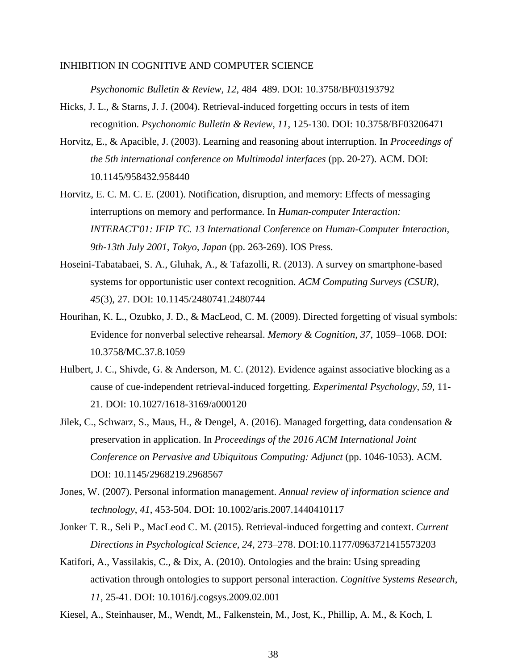*Psychonomic Bulletin & Review, 12,* 484–489. DOI: 10.3758/BF03193792

- Hicks, J. L., & Starns, J. J. (2004). Retrieval-induced forgetting occurs in tests of item recognition. *Psychonomic Bulletin & Review, 11*, 125-130. DOI: 10.3758/BF03206471
- Horvitz, E., & Apacible, J. (2003). Learning and reasoning about interruption. In *Proceedings of the 5th international conference on Multimodal interfaces* (pp. 20-27). ACM. DOI: [10.1145/958432.958440](https://doi.org/10.1145/958432.958440)
- Horvitz, E. C. M. C. E. (2001). Notification, disruption, and memory: Effects of messaging interruptions on memory and performance. In *Human-computer Interaction: INTERACT'01: IFIP TC. 13 International Conference on Human-Computer Interaction, 9th-13th July 2001, Tokyo, Japan* (pp. 263-269). IOS Press.
- Hoseini-Tabatabaei, S. A., Gluhak, A., & Tafazolli, R. (2013). A survey on smartphone-based systems for opportunistic user context recognition. *ACM Computing Surveys (CSUR)*, *45*(3), 27. DOI: [10.1145/2480741.2480744](https://doi.org/10.1145/2480741.2480744)
- Hourihan, K. L., Ozubko, J. D., & MacLeod, C. M. (2009). Directed forgetting of visual symbols: Evidence for nonverbal selective rehearsal. *Memory & Cognition, 37*, 1059–1068. DOI: 10.3758/MC.37.8.1059
- Hulbert, J. C., Shivde, G. & Anderson, M. C. (2012). Evidence against associative blocking as a cause of cue-independent retrieval-induced forgetting. *Experimental Psychology, 59*, 11- 21. DOI: [10.1027/1618-3169/a000120](http://psycnet.apa.org/doi/10.1027/1618-3169/a000120)
- Jilek, C., Schwarz, S., Maus, H., & Dengel, A. (2016). Managed forgetting, data condensation  $\&$ preservation in application. In *Proceedings of the 2016 ACM International Joint Conference on Pervasive and Ubiquitous Computing: Adjunct* (pp. 1046-1053). ACM. DOI: [10.1145/2968219.2968567](https://doi.org/10.1145/2968219.2968567)
- Jones, W. (2007). Personal information management. *Annual review of information science and technology*, *41*, 453-504. DOI: 10.1002/aris.2007.1440410117
- Jonker T. R., Seli P., MacLeod C. M. (2015). Retrieval-induced forgetting and context. *Current Directions in Psychological Science, 24*, 273–278. DOI:10.1177/0963721415573203
- Katifori, A., Vassilakis, C., & Dix, A. (2010). Ontologies and the brain: Using spreading activation through ontologies to support personal interaction. *Cognitive Systems Research*, *11*, 25-41. DOI: [10.1016/j.cogsys.2009.02.001](https://doi.org/10.1016/j.cogsys.2009.02.001)
- Kiesel, A., Steinhauser, M., Wendt, M., Falkenstein, M., Jost, K., Phillip, A. M., & Koch, I.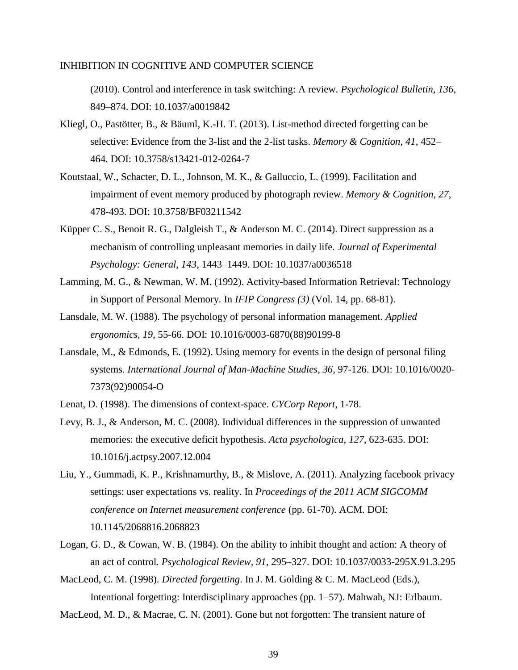(2010). Control and interference in task switching: A review. *Psychological Bulletin, 136*, 849–874. DOI: 10.1037/a0019842

- Kliegl, O., Pastötter, B., & Bäuml, K.-H. T. (2013). List-method directed forgetting can be selective: Evidence from the 3-list and the 2-list tasks. *Memory & Cognition, 41*, 452– 464. DOI: 10.3758/s13421-012-0264-7
- Koutstaal, W., Schacter, D. L., Johnson, M. K., & Galluccio, L. (1999). Facilitation and impairment of event memory produced by photograph review. *Memory & Cognition, 27*, 478-493. DOI: 10.3758/BF03211542
- Küpper C. S., Benoit R. G., Dalgleish T., & Anderson M. C. (2014). Direct suppression as a mechanism of controlling unpleasant memories in daily life. *Journal of Experimental Psychology: General, 143*, 1443–1449. DOI: 10.1037/a0036518
- Lamming, M. G., & Newman, W. M. (1992). Activity-based Information Retrieval: Technology in Support of Personal Memory. In *IFIP Congress (3)* (Vol. 14, pp. 68-81).
- Lansdale, M. W. (1988). The psychology of personal information management. *Applied ergonomics*, *19*, 55-66. DOI: [10.1016/0003-6870\(88\)90199-8](https://doi.org/10.1016/0003-6870(88)90199-8)
- Lansdale, M., & Edmonds, E. (1992). Using memory for events in the design of personal filing systems. *International Journal of Man-Machine Studies*, *36*, 97-126. DOI: [10.1016/0020-](https://doi.org/10.1016/0020-7373(92)90054-O) [7373\(92\)90054-O](https://doi.org/10.1016/0020-7373(92)90054-O)
- Lenat, D. (1998). The dimensions of context-space. *CYCorp Report*, 1-78.
- Levy, B. J., & Anderson, M. C. (2008). Individual differences in the suppression of unwanted memories: the executive deficit hypothesis. *Acta psychologica*, *127*, 623-635. DOI: 10.1016/j.actpsy.2007.12.004
- Liu, Y., Gummadi, K. P., Krishnamurthy, B., & Mislove, A. (2011). Analyzing facebook privacy settings: user expectations vs. reality. In *Proceedings of the 2011 ACM SIGCOMM conference on Internet measurement conference* (pp. 61-70). ACM. DOI: [10.1145/2068816.2068823](https://doi.org/10.1145/2068816.2068823)
- Logan, G. D., & Cowan, W. B. (1984). On the ability to inhibit thought and action: A theory of an act of control*. Psychological Review, 91*, 295–327. DOI: [10.1037/0033-295X.91.3.295](http://psycnet.apa.org/doi/10.1037/0033-295X.91.3.295)
- MacLeod, C. M. (1998). *Directed forgetting*. In J. M. Golding & C. M. MacLeod (Eds.), Intentional forgetting: Interdisciplinary approaches (pp. 1–57). Mahwah, NJ: Erlbaum.

MacLeod, M. D., & Macrae, C. N. (2001). Gone but not forgotten: The transient nature of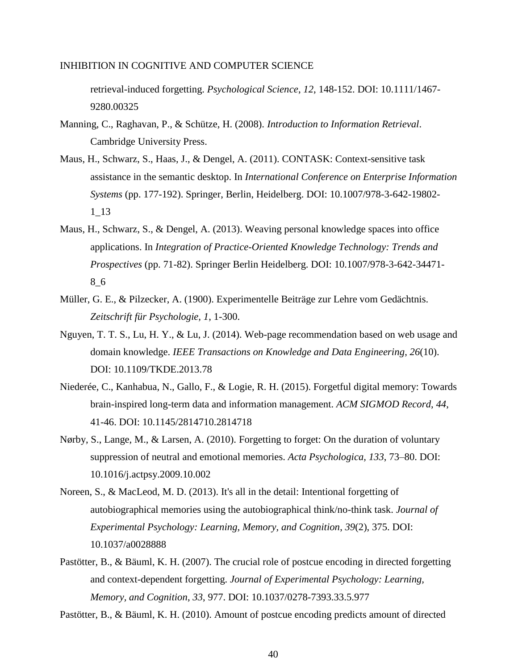retrieval-induced forgetting. *Psychological Science*, *12*, 148-152. DOI: 10.1111/1467- 9280.00325

- Manning, C., Raghavan, P., & Schütze, H. (2008). *Introduction to Information Retrieval*. Cambridge University Press.
- Maus, H., Schwarz, S., Haas, J., & Dengel, A. (2011). CONTASK: Context-sensitive task assistance in the semantic desktop. In *International Conference on Enterprise Information Systems* (pp. 177-192). Springer, Berlin, Heidelberg. DOI: [10.1007/978-3-642-19802-](https://doi.org/10.1007/978-3-642-19802-1_13) [1\\_13](https://doi.org/10.1007/978-3-642-19802-1_13)
- Maus, H., Schwarz, S., & Dengel, A. (2013). Weaving personal knowledge spaces into office applications. In *Integration of Practice-Oriented Knowledge Technology: Trends and Prospectives* (pp. 71-82). Springer Berlin Heidelberg. DOI: [10.1007/978-3-642-34471-](https://doi.org/10.1007/978-3-642-34471-8_6) [8\\_6](https://doi.org/10.1007/978-3-642-34471-8_6)
- Müller, G. E., & Pilzecker, A. (1900). Experimentelle Beiträge zur Lehre vom Gedächtnis. *Zeitschrift für Psychologie, 1*, 1-300.
- Nguyen, T. T. S., Lu, H. Y., & Lu, J. (2014). Web-page recommendation based on web usage and domain knowledge. *IEEE Transactions on Knowledge and Data Engineering*, *26*(10). DOI: [10.1109/TKDE.2013.78](https://doi.org/10.1109/TKDE.2013.78)
- Niederée, C., Kanhabua, N., Gallo, F., & Logie, R. H. (2015). Forgetful digital memory: Towards brain-inspired long-term data and information management. *ACM SIGMOD Record*, *44*, 41-46. DOI: [10.1145/2814710.2814718](https://doi.org/10.1145/2814710.2814718)
- Nørby, S., Lange, M., & Larsen, A. (2010). Forgetting to forget: On the duration of voluntary suppression of neutral and emotional memories. *Acta Psychologica, 133*, 73–80. DOI: 10.1016/j.actpsy.2009.10.002
- Noreen, S., & MacLeod, M. D. (2013). It's all in the detail: Intentional forgetting of autobiographical memories using the autobiographical think/no-think task. *Journal of Experimental Psychology: Learning, Memory, and Cognition*, *39*(2), 375. DOI: [10.1037/a0028888](http://psycnet.apa.org/doi/10.1037/a0028888)
- Pastötter, B., & Bäuml, K. H. (2007). The crucial role of postcue encoding in directed forgetting and context-dependent forgetting. *Journal of Experimental Psychology: Learning, Memory, and Cognition*, *33*, 977. DOI: [10.1037/0278-7393.33.5.977](http://psycnet.apa.org/doi/10.1037/0278-7393.33.5.977)

Pastötter, B., & Bäuml, K. H. (2010). Amount of postcue encoding predicts amount of directed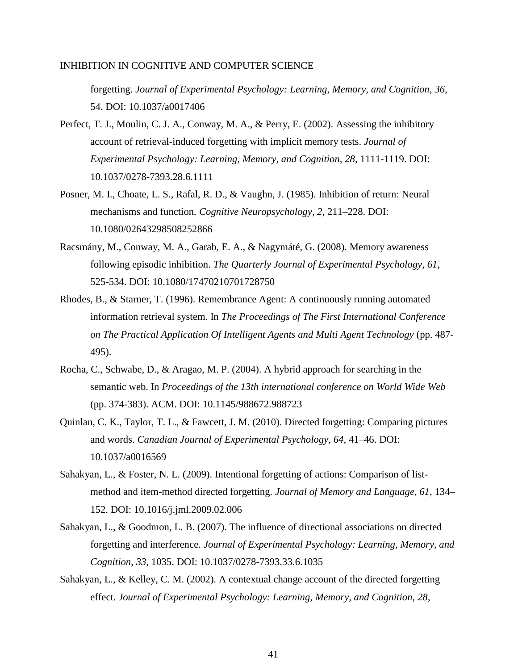forgetting. *Journal of Experimental Psychology: Learning, Memory, and Cognition*, *36*, 54. DOI: [10.1037/a0017406](http://psycnet.apa.org/doi/10.1037/a0017406)

- Perfect, T. J., Moulin, C. J. A., Conway, M. A., & Perry, E. (2002). Assessing the inhibitory account of retrieval-induced forgetting with implicit memory tests. *Journal of Experimental Psychology: Learning, Memory, and Cognition, 28,* 1111-1119. DOI[:](http://psycnet.apa.org/doi/10.1037/0278-7393.28.6.1111) [10.1037/0278-7393.28.6.1111](http://psycnet.apa.org/doi/10.1037/0278-7393.28.6.1111)
- Posner, M. I., Choate, L. S., Rafal, R. D., & Vaughn, J. (1985). Inhibition of return: Neural mechanisms and function*. Cognitive Neuropsychology, 2*, 211–228. DOI: [10.1080/02643298508252866](http://dx.doi.org/10.1080/02643298508252866)
- Racsmány, M., Conway, M. A., Garab, E. A., & Nagymáté, G. (2008). Memory awareness following episodic inhibition. *The Quarterly Journal of Experimental Psychology*, *61*, 525-534. DOI: [10.1080/17470210701728750](http://dx.doi.org/10.1080/17470210701728750)
- Rhodes, B., & Starner, T. (1996). Remembrance Agent: A continuously running automated information retrieval system. In *The Proceedings of The First International Conference on The Practical Application Of Intelligent Agents and Multi Agent Technology* (pp. 487- 495).
- Rocha, C., Schwabe, D., & Aragao, M. P. (2004). A hybrid approach for searching in the semantic web. In *Proceedings of the 13th international conference on World Wide Web* (pp. 374-383). ACM. DOI: [10.1145/988672.988723](https://doi.org/10.1145/988672.988723)
- Quinlan, C. K., Taylor, T. L., & Fawcett, J. M. (2010). Directed forgetting: Comparing pictures and words. *Canadian Journal of Experimental Psychology, 64*, 41–46. DOI: [10.1037/a0016569](http://psycnet.apa.org/doi/10.1037/a0016569)
- Sahakyan, L., & Foster, N. L. (2009). Intentional forgetting of actions: Comparison of listmethod and item-method directed forgetting. *Journal of Memory and Language, 61*, 134– 152. DOI: [10.1016/j.jml.2009.02.006](http://psycnet.apa.org/doi/10.1016/j.jml.2009.02.006)
- Sahakyan, L., & Goodmon, L. B. (2007). The influence of directional associations on directed forgetting and interference. *Journal of Experimental Psychology: Learning, Memory, and Cognition*, *33*, 1035. DOI: [10.1037/0278-7393.33.6.1035](http://psycnet.apa.org/doi/10.1037/0278-7393.33.6.1035)
- Sahakyan, L., & Kelley, C. M. (2002). A contextual change account of the directed forgetting effect. *Journal of Experimental Psychology: Learning, Memory, and Cognition, 28*,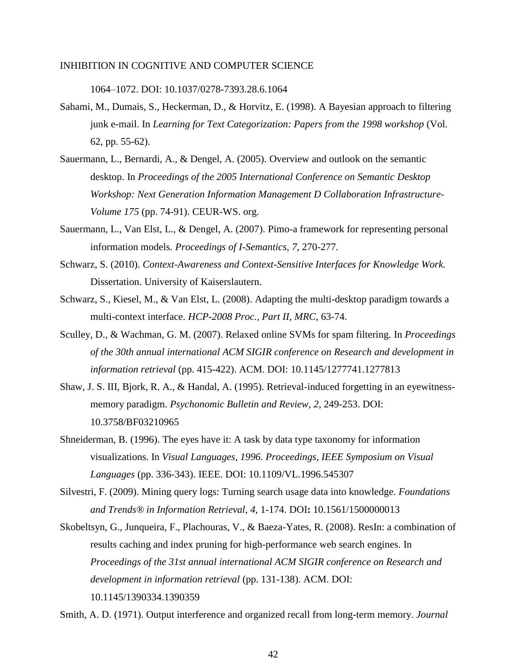1064–1072. DOI: [10.1037/0278-7393.28.6.1064](http://psycnet.apa.org/doi/10.1037/0278-7393.28.6.1064)

- Sahami, M., Dumais, S., Heckerman, D., & Horvitz, E. (1998). A Bayesian approach to filtering junk e-mail. In *Learning for Text Categorization: Papers from the 1998 workshop* (Vol. 62, pp. 55-62).
- Sauermann, L., Bernardi, A., & Dengel, A. (2005). Overview and outlook on the semantic desktop. In *Proceedings of the 2005 International Conference on Semantic Desktop Workshop: Next Generation Information Management D Collaboration Infrastructure-Volume 175* (pp. 74-91). CEUR-WS. org.
- Sauermann, L., Van Elst, L., & Dengel, A. (2007). Pimo-a framework for representing personal information models. *Proceedings of I-Semantics*, *7*, 270-277.
- Schwarz, S. (2010). *Context-Awareness and Context-Sensitive Interfaces for Knowledge Work.* Dissertation. University of Kaiserslautern.
- Schwarz, S., Kiesel, M., & Van Elst, L. (2008). Adapting the multi-desktop paradigm towards a multi-context interface. *HCP-2008 Proc., Part II, MRC*, 63-74.
- Sculley, D., & Wachman, G. M. (2007). Relaxed online SVMs for spam filtering. In *Proceedings of the 30th annual international ACM SIGIR conference on Research and development in information retrieval* (pp. 415-422). ACM. DOI: [10.1145/1277741.1277813](https://doi.org/10.1145/1277741.1277813)
- Shaw, J. S. III, Bjork, R. A., & Handal, A. (1995). Retrieval-induced forgetting in an eyewitnessmemory paradigm. *Psychonomic Bulletin and Review, 2*, 249-253. DOI: 10.3758/BF03210965
- Shneiderman, B. (1996). The eyes have it: A task by data type taxonomy for information visualizations. In *Visual Languages, 1996. Proceedings, IEEE Symposium on Visual Languages* (pp. 336-343). IEEE. DOI: [10.1109/VL.1996.545307](https://doi.org/10.1109/VL.1996.545307)
- Silvestri, F. (2009). Mining query logs: Turning search usage data into knowledge. *Foundations and Trends® in Information Retrieval*, *4*, 1-174. DOI**:** 10.1561/1500000013
- Skobeltsyn, G., Junqueira, F., Plachouras, V., & Baeza-Yates, R. (2008). ResIn: a combination of results caching and index pruning for high-performance web search engines. In *Proceedings of the 31st annual international ACM SIGIR conference on Research and development in information retrieval* (pp. 131-138). ACM. DOI: [10.1145/1390334.1390359](https://doi.org/10.1145/1390334.1390359)

Smith, A. D. (1971). Output interference and organized recall from long-term memory. *Journal*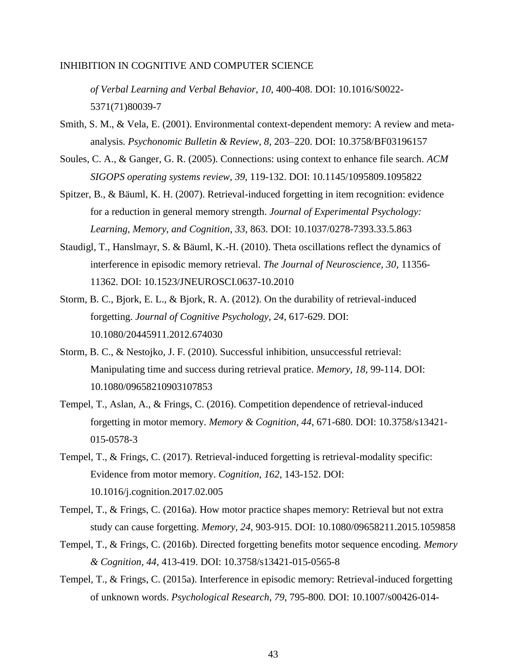*of Verbal Learning and Verbal Behavior, 10*, 400-408. DOI: [10.1016/S0022-](http://psycnet.apa.org/doi/10.1016/S0022-5371(71)80039-7) [5371\(71\)80039-7](http://psycnet.apa.org/doi/10.1016/S0022-5371(71)80039-7)

- Smith, S. M., & Vela, E. (2001). Environmental context-dependent memory: A review and metaanalysis. *Psychonomic Bulletin & Review, 8,* 203–220. DOI: [10.3758/BF03196157](https://doi.org/10.3758/BF03196157)
- Soules, C. A., & Ganger, G. R. (2005). Connections: using context to enhance file search. *ACM SIGOPS operating systems review*, *39*, 119-132. DOI: [10.1145/1095809.1095822](https://doi.org/10.1145/1095809.1095822)
- Spitzer, B., & Bäuml, K. H. (2007). Retrieval-induced forgetting in item recognition: evidence for a reduction in general memory strength. *Journal of Experimental Psychology: Learning, Memory, and Cognition*, *33*, 863. DOI: [10.1037/0278-7393.33.5.863](http://psycnet.apa.org/doi/10.1037/0278-7393.33.5.863)
- Staudigl, T., Hanslmayr, S. & Bäuml, K.-H. (2010). Theta oscillations reflect the dynamics of interference in episodic memory retrieval. *The Journal of Neuroscience, 30*, 11356- 11362. DOI: [10.1523/JNEUROSCI.0637-10.2010](http://psycnet.apa.org/doi/10.1523/JNEUROSCI.0637-10.2010)
- Storm, B. C., Bjork, E. L., & Bjork, R. A. (2012). On the durability of retrieval-induced forgetting. *Journal of Cognitive Psychology, 24*, 617-629. DOI: 10.1080/20445911.2012.674030
- Storm, B. C., & Nestojko, J. F. (2010). Successful inhibition, unsuccessful retrieval: Manipulating time and success during retrieval pratice. *Memory, 18*, 99-114. DOI: 10.1080/09658210903107853
- Tempel, T., Aslan, A., & Frings, C. (2016). Competition dependence of retrieval-induced forgetting in motor memory. *Memory & Cognition, 44*, 671-680. DOI: 10.3758/s13421- 015-0578-3
- Tempel, T., & Frings, C. (2017). Retrieval-induced forgetting is retrieval-modality specific: Evidence from motor memory. *Cognition, 162*, 143-152. DOI: 10.1016/j.cognition.2017.02.005
- Tempel, T., & Frings, C. (2016a). How motor practice shapes memory: Retrieval but not extra study can cause forgetting. *Memory, 24*, 903-915. DOI: 10.1080/09658211.2015.1059858
- Tempel, T., & Frings, C. (2016b). Directed forgetting benefits motor sequence encoding. *Memory & Cognition, 44*, 413-419. DOI: 10.3758/s13421-015-0565-8
- Tempel, T., & Frings, C. (2015a). Interference in episodic memory: Retrieval-induced forgetting of unknown words. *Psychological Research, 79*, 795-800*.* DOI: 10.1007/s00426-014-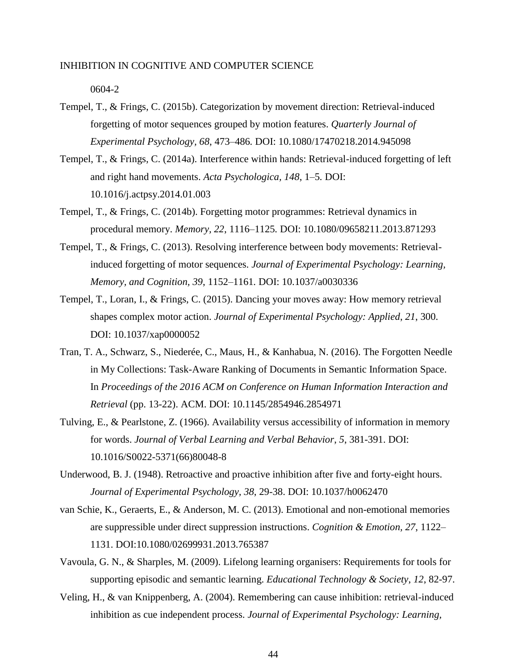0604-2

- Tempel, T., & Frings, C. (2015b). Categorization by movement direction: Retrieval-induced forgetting of motor sequences grouped by motion features. *Quarterly Journal of Experimental Psychology, 68*, 473–486*.* DOI: 10.1080/17470218.2014.945098
- Tempel, T., & Frings, C. (2014a). Interference within hands: Retrieval-induced forgetting of left and right hand movements. *Acta Psychologica, 148*, 1–5*.* DOI: 10.1016/j.actpsy.2014.01.003
- Tempel, T., & Frings, C. (2014b). Forgetting motor programmes: Retrieval dynamics in procedural memory. *Memory, 22*, 1116–1125*.* DOI: 10.1080/09658211.2013.871293
- Tempel, T., & Frings, C. (2013). Resolving interference between body movements: Retrievalinduced forgetting of motor sequences. *Journal of Experimental Psychology: Learning, Memory, and Cognition, 39*, 1152–1161*.* DOI: 10.1037/a0030336
- Tempel, T., Loran, I., & Frings, C. (2015). Dancing your moves away: How memory retrieval shapes complex motor action. *Journal of Experimental Psychology: Applied*, *21*, 300. DOI: [10.1037/xap0000052](http://psycnet.apa.org/doi/10.1037/xap0000052)
- Tran, T. A., Schwarz, S., Niederée, C., Maus, H., & Kanhabua, N. (2016). The Forgotten Needle in My Collections: Task-Aware Ranking of Documents in Semantic Information Space. In *Proceedings of the 2016 ACM on Conference on Human Information Interaction and Retrieval* (pp. 13-22). ACM. DOI: [10.1145/2854946.2854971](https://doi.org/10.1145/2854946.2854971)
- Tulving, E., & Pearlstone, Z. (1966). Availability versus accessibility of information in memory for words. *Journal of Verbal Learning and Verbal Behavior*, *5*, 381-391. DOI: [10.1016/S0022-5371\(66\)80048-8](https://doi.org/10.1016/S0022-5371(66)80048-8)
- Underwood, B. J. (1948). Retroactive and proactive inhibition after five and forty-eight hours. *Journal of Experimental Psychology, 38*, 29-38. DOI: [10.1037/h0062470](http://psycnet.apa.org/doi/10.1037/h0062470)
- van Schie, K., Geraerts, E., & Anderson, M. C. (2013). Emotional and non-emotional memories are suppressible under direct suppression instructions. *Cognition & Emotion, 27*, 1122– 1131. DOI:10.1080/02699931.2013.765387
- Vavoula, G. N., & Sharples, M. (2009). Lifelong learning organisers: Requirements for tools for supporting episodic and semantic learning. *Educational Technology & Society*, *12*, 82-97.
- Veling, H., & van Knippenberg, A. (2004). Remembering can cause inhibition: retrieval-induced inhibition as cue independent process. *Journal of Experimental Psychology: Learning,*